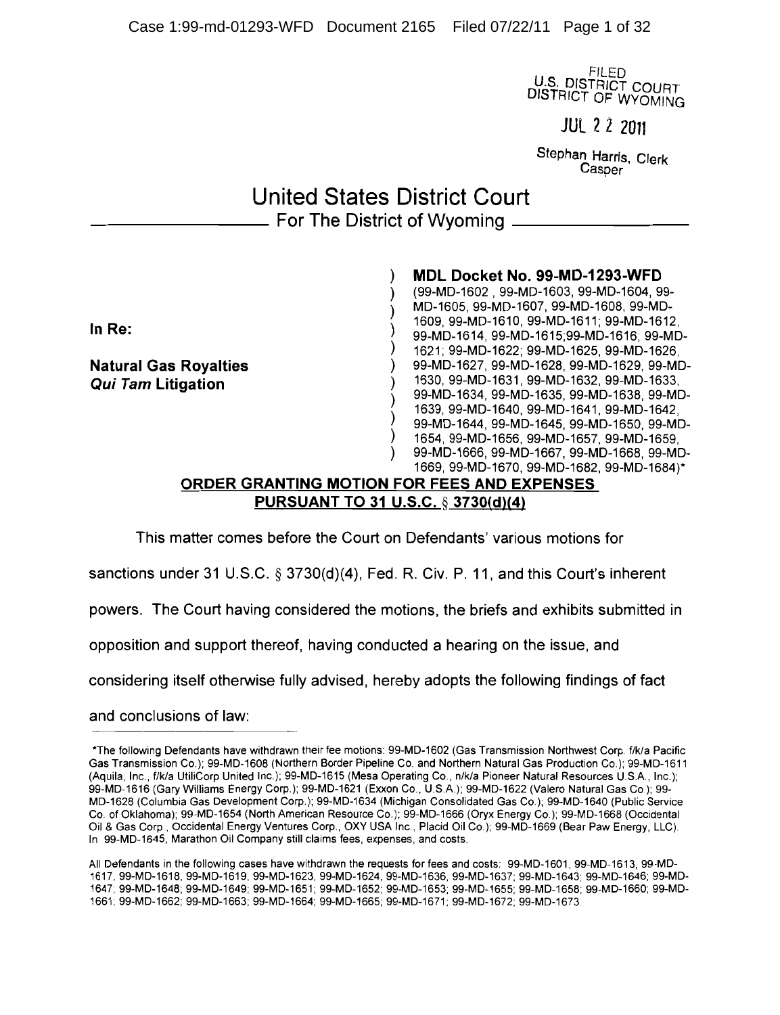**FILED U.S. DISTRICT COURT** DISTRICT OF WYOMING

**JUL 2 2 2011** 

Stephan Harris, Clerk Casper

# **United States District Court** - For The District of Wyoming -

 $\lambda$ MDL Docket No. 99-MD-1293-WFD (99-MD-1602 99-MD-1603 99-MD-1604 99-١ MD-1605, 99-MD-1607, 99-MD-1608, 99-MD- $\lambda$ 1609, 99-MD-1610, 99-MD-1611; 99-MD-1612. ) 99-MD-1614, 99-MD-1615;99-MD-1616; 99-MD-1621; 99-MD-1622; 99-MD-1625, 99-MD-1626. **Natural Gas Royalties** 99-MD-1627, 99-MD-1628, 99-MD-1629, 99-MD- $\lambda$ 1630, 99-MD-1631, 99-MD-1632, 99-MD-1633, 99-MD-1634, 99-MD-1635, 99-MD-1638, 99-MD-1639, 99-MD-1640, 99-MD-1641, 99-MD-1642, 99-MD-1644, 99-MD-1645, 99-MD-1650, 99-MD-1654, 99-MD-1656, 99-MD-1657, 99-MD-1659, 99-MD-1666, 99-MD-1667, 99-MD-1668, 99-MD-1669, 99-MD-1670, 99-MD-1682, 99-MD-1684)\*

#### ORDER GRANTING MOTION FOR FEES AND EXPENSES **PURSUANT TO 31 U.S.C. § 3730(d)(4)**

This matter comes before the Court on Defendants' various motions for

sanctions under 31 U.S.C.  $\S 3730(d)(4)$ , Fed. R. Civ. P. 11, and this Court's inherent

powers. The Court having considered the motions, the briefs and exhibits submitted in

opposition and support thereof, having conducted a hearing on the issue, and

considering itself otherwise fully advised, hereby adopts the following findings of fact

and conclusions of law:

In Re:

**Qui Tam Litigation** 

<sup>\*</sup>The following Defendants have withdrawn their fee motions: 99-MD-1602 (Gas Transmission Northwest Corp. f/k/a Pacific Gas Transmission Co.); 99-MD-1608 (Northern Border Pipeline Co. and Northern Natural Gas Production Co.); 99-MD-1611 (Aquila, Inc., f/k/a UtiliCorp United Inc.); 99-MD-1615 (Mesa Operating Co., n/k/a Pioneer Natural Resources U.S.A., Inc.); 99-MD-1616 (Gary Williams Energy Corp.); 99-MD-1621 (Exxon Co., U.S.A.); 99-MD-1622 (Valero Natural Gas Co.); 99-MD-1628 (Columbia Gas Development Corp.); 99-MD-1634 (Michigan Consolidated Gas Co.); 99-MD-1640 (Public Service Co. of Oklahoma); 99-MD-1654 (North American Resource Co.); 99-MD-1666 (Oryx Energy Co.); 99-MD-1668 (Occidental Oil & Gas Corp., Occidental Energy Ventures Corp., OXY USA Inc., Placid Oil Co.); 99-MD-1669 (Bear Paw Energy, LLC). In 99-MD-1645, Marathon Oil Company still claims fees, expenses, and costs.

All Defendants in the following cases have withdrawn the requests for fees and costs: 99-MD-1601, 99-MD-1613, 99-MD-1617, 99-MD-1618, 99-MD-1619, 99-MD-1623, 99-MD-1624, 99-MD-1636, 99-MD-1637; 99-MD-1643; 99-MD-1646; 99-MD-1647; 99-MD-1648; 99-MD-1649; 99-MD-1651; 99-MD-1652; 99-MD-1653; 99-MD-1655; 99-MD-1658; 99-MD-1660; 99-MD-1661; 99-MD-1662; 99-MD-1663; 99-MD-1664; 99-MD-1665; 99-MD-1671; 99-MD-1672; 99-MD-1673.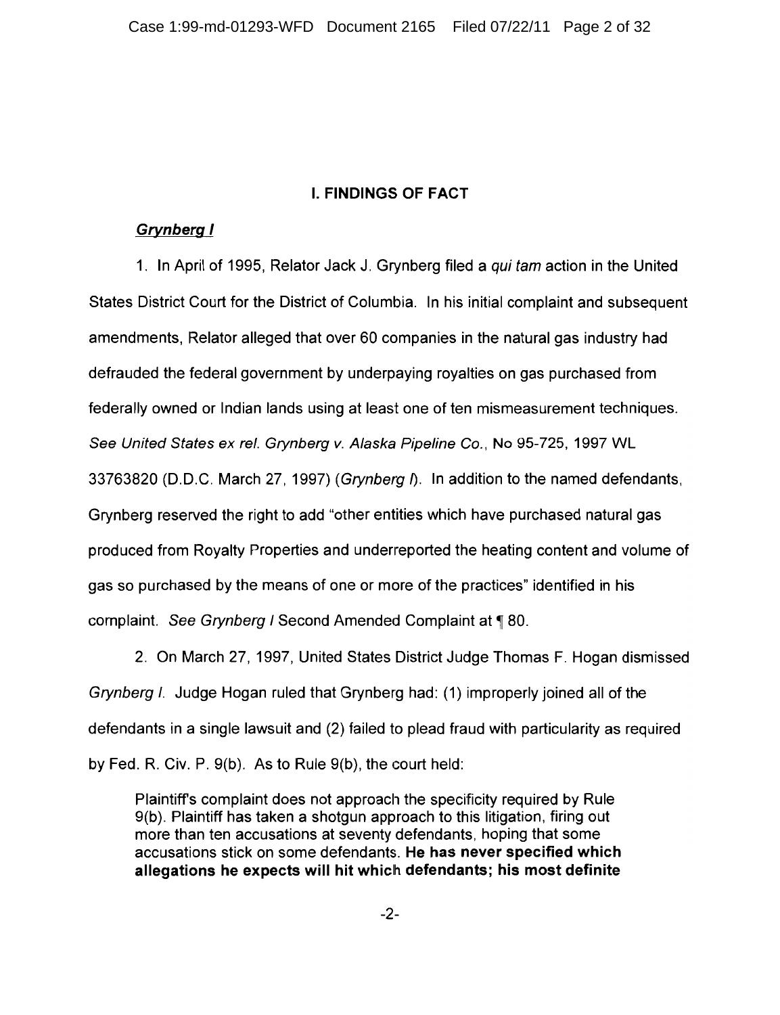### **I. FINDINGS OF FACT**

### **Grynberg I**

1. In April of 1995, Relator Jack J. Grynberg filed a *qui tam* action in the United States District Court for the District of Columbia. In his initial complaint and subsequent amendments, Relator alleged that over 60 companies in the natural gas industry had defrauded the federal government by underpaying royalties on gas purchased from federally owned or Indian lands using at least one of ten mismeasurement techniques. See United States ex rel. Grynberg v. Alaska Pipeline Co., No 95-725, 1997 WL 33763820 (D.D.C. March 27, 1997) (Grynberg I). In addition to the named defendants, Grynberg reserved the right to add "other entities which have purchased natural gas produced from Royalty Properties and underreported the heating content and volume of gas so purchased by the means of one or more of the practices" identified in his complaint. See Grynberg I Second Amended Complaint at 180.

2. On March 27, 1997, United States District Judge Thomas F. Hogan dismissed Grynberg I. Judge Hogan ruled that Grynberg had: (1) improperly joined all of the defendants in a single lawsuit and (2) failed to plead fraud with particularity as required by Fed. R. Civ. P.  $9(b)$ . As to Rule  $9(b)$ , the court held:

Plaintiff's complaint does not approach the specificity required by Rule 9(b). Plaintiff has taken a shotgun approach to this litigation, firing out more than ten accusations at seventy defendants, hoping that some accusations stick on some defendants. He has never specified which allegations he expects will hit which defendants; his most definite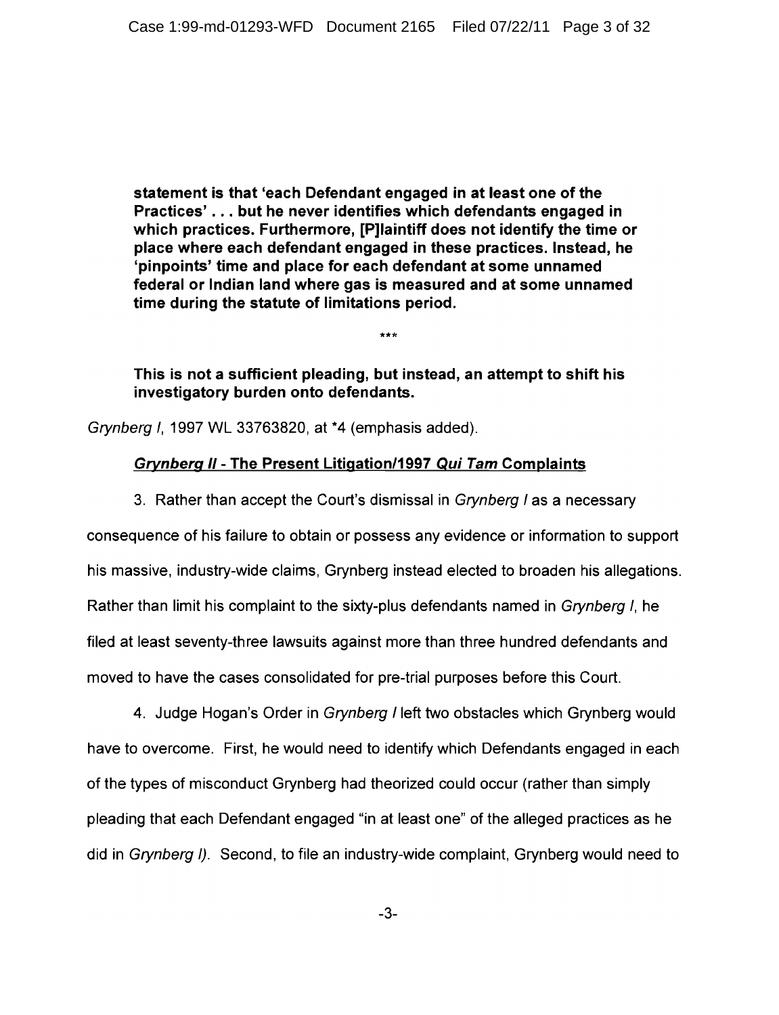statement is that 'each Defendant engaged in at least one of the Practices'...but he never identifies which defendants engaged in which practices. Furthermore, [P]laintiff does not identify the time or place where each defendant engaged in these practices. Instead, he 'pinpoints' time and place for each defendant at some unnamed federal or Indian land where gas is measured and at some unnamed time during the statute of limitations period.

This is not a sufficient pleading, but instead, an attempt to shift his investigatory burden onto defendants.

 $***$ 

Grynberg I, 1997 WL 33763820, at \*4 (emphasis added).

### **Grynberg II - The Present Litigation/1997 Qui Tam Complaints**

3. Rather than accept the Court's dismissal in Grynberg I as a necessary

consequence of his failure to obtain or possess any evidence or information to support his massive, industry-wide claims, Grynberg instead elected to broaden his allegations. Rather than limit his complaint to the sixty-plus defendants named in Grynberg I, he filed at least seventy-three lawsuits against more than three hundred defendants and moved to have the cases consolidated for pre-trial purposes before this Court.

4. Judge Hogan's Order in Grynberg I left two obstacles which Grynberg would have to overcome. First, he would need to identify which Defendants engaged in each of the types of misconduct Grynberg had theorized could occur (rather than simply pleading that each Defendant engaged "in at least one" of the alleged practices as he did in Grynberg I). Second, to file an industry-wide complaint, Grynberg would need to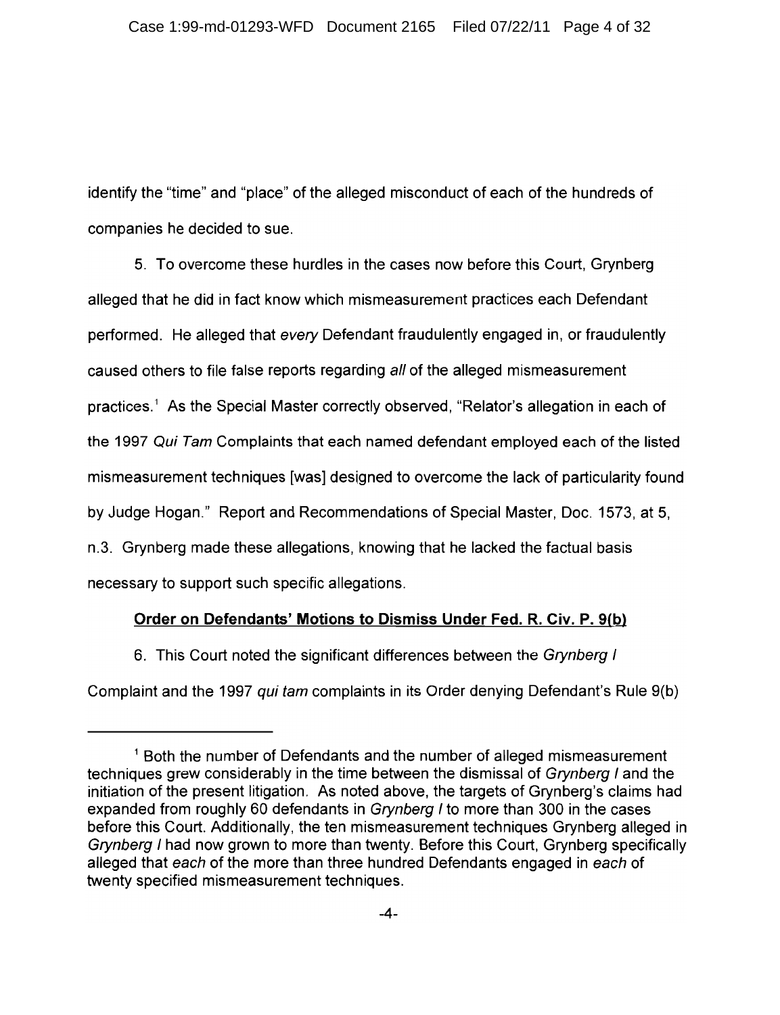identify the "time" and "place" of the alleged misconduct of each of the hundreds of companies he decided to sue.

5. To overcome these hurdles in the cases now before this Court, Grynberg alleged that he did in fact know which mismeasurement practices each Defendant performed. He alleged that every Defendant fraudulently engaged in, or fraudulently caused others to file false reports regarding all of the alleged mismeasurement practices.<sup>1</sup> As the Special Master correctly observed, "Relator's allegation in each of the 1997 Qui Tam Complaints that each named defendant employed each of the listed mismeasurement techniques [was] designed to overcome the lack of particularity found by Judge Hogan." Report and Recommendations of Special Master, Doc. 1573, at 5, n.3. Grynberg made these allegations, knowing that he lacked the factual basis necessary to support such specific allegations.

### Order on Defendants' Motions to Dismiss Under Fed. R. Civ. P. 9(b)

6. This Court noted the significant differences between the Grynberg I

Complaint and the 1997 qui tam complaints in its Order denying Defendant's Rule 9(b)

<sup>&</sup>lt;sup>1</sup> Both the number of Defendants and the number of alleged mismeasurement techniques grew considerably in the time between the dismissal of Grynberg I and the initiation of the present litigation. As noted above, the targets of Grynberg's claims had expanded from roughly 60 defendants in Grynberg I to more than 300 in the cases before this Court. Additionally, the ten mismeasurement techniques Grynberg alleged in Grynberg I had now grown to more than twenty. Before this Court, Grynberg specifically alleged that each of the more than three hundred Defendants engaged in each of twenty specified mismeasurement techniques.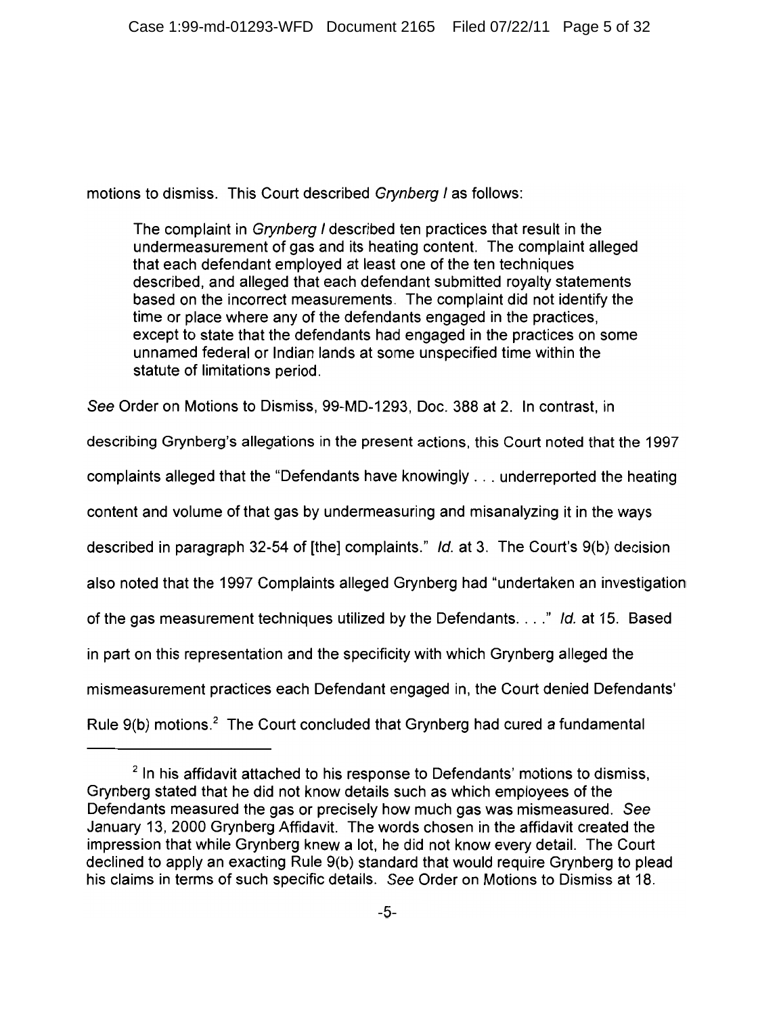motions to dismiss. This Court described Grynberg I as follows:

The complaint in *Grynberg I* described ten practices that result in the undermeasurement of gas and its heating content. The complaint alleged that each defendant employed at least one of the ten techniques described, and alleged that each defendant submitted royalty statements based on the incorrect measurements. The complaint did not identify the time or place where any of the defendants engaged in the practices. except to state that the defendants had engaged in the practices on some unnamed federal or Indian lands at some unspecified time within the statute of limitations period.

See Order on Motions to Dismiss, 99-MD-1293, Doc. 388 at 2. In contrast, in

describing Grynberg's allegations in the present actions, this Court noted that the 1997 complaints alleged that the "Defendants have knowingly . . . underreported the heating content and volume of that gas by undermeasuring and misanalyzing it in the ways described in paragraph 32-54 of [the] complaints." Id. at 3. The Court's 9(b) decision also noted that the 1997 Complaints alleged Grynberg had "undertaken an investigation of the gas measurement techniques utilized by the Defendants. . . ." Id. at 15. Based in part on this representation and the specificity with which Grynberg alleged the mismeasurement practices each Defendant engaged in, the Court denied Defendants' Rule 9(b) motions.<sup>2</sup> The Court concluded that Grynberg had cured a fundamental

<sup>&</sup>lt;sup>2</sup> In his affidavit attached to his response to Defendants' motions to dismiss, Grynberg stated that he did not know details such as which employees of the Defendants measured the gas or precisely how much gas was mismeasured. See January 13, 2000 Grynberg Affidavit. The words chosen in the affidavit created the impression that while Grynberg knew a lot, he did not know every detail. The Court declined to apply an exacting Rule 9(b) standard that would require Grynberg to plead his claims in terms of such specific details. See Order on Motions to Dismiss at 18.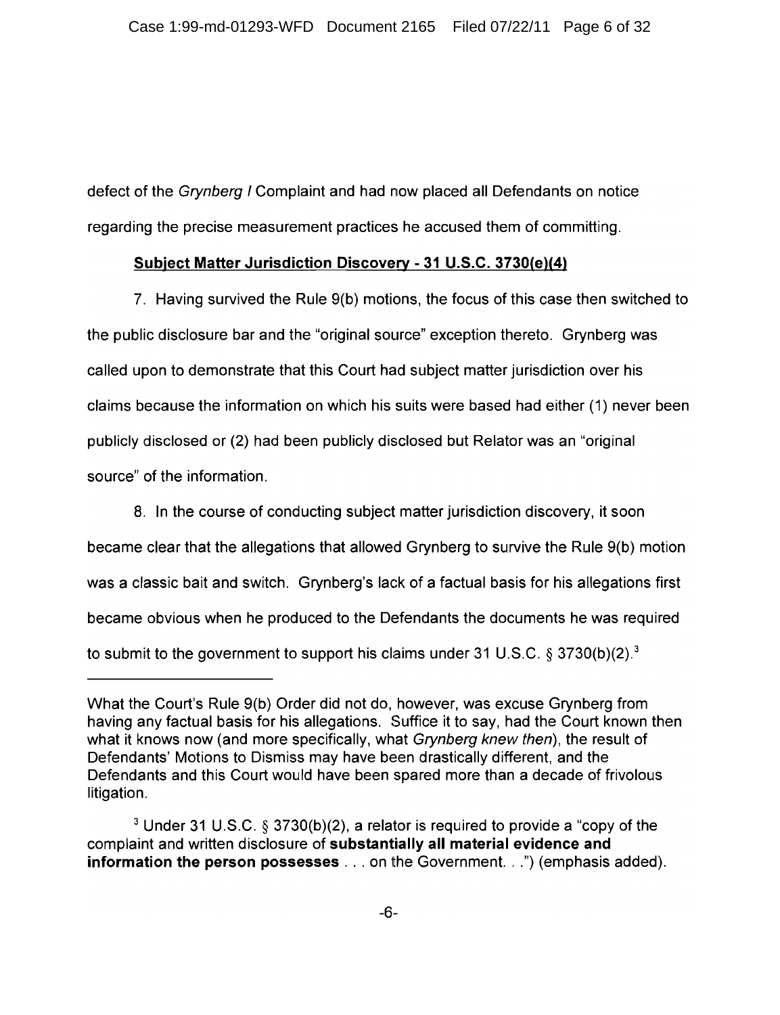defect of the Grynberg I Complaint and had now placed all Defendants on notice regarding the precise measurement practices he accused them of committing.

### Subject Matter Jurisdiction Discovery - 31 U.S.C. 3730(e)(4)

7. Having survived the Rule 9(b) motions, the focus of this case then switched to the public disclosure bar and the "original source" exception thereto. Grynberg was called upon to demonstrate that this Court had subject matter jurisdiction over his claims because the information on which his suits were based had either (1) never been publicly disclosed or (2) had been publicly disclosed but Relator was an "original source" of the information.

8. In the course of conducting subject matter jurisdiction discovery, it soon became clear that the allegations that allowed Grynberg to survive the Rule 9(b) motion was a classic bait and switch. Grynberg's lack of a factual basis for his allegations first became obvious when he produced to the Defendants the documents he was required to submit to the government to support his claims under 31 U.S.C. § 3730(b)(2).<sup>3</sup>

What the Court's Rule 9(b) Order did not do, however, was excuse Grynberg from having any factual basis for his allegations. Suffice it to say, had the Court known then what it knows now (and more specifically, what Grynberg knew then), the result of Defendants' Motions to Dismiss may have been drastically different, and the Defendants and this Court would have been spared more than a decade of frivolous litigation.

<sup>&</sup>lt;sup>3</sup> Under 31 U.S.C. § 3730(b)(2), a relator is required to provide a "copy of the complaint and written disclosure of substantially all material evidence and **information the person possesses** . . . on the Government. . .") (emphasis added).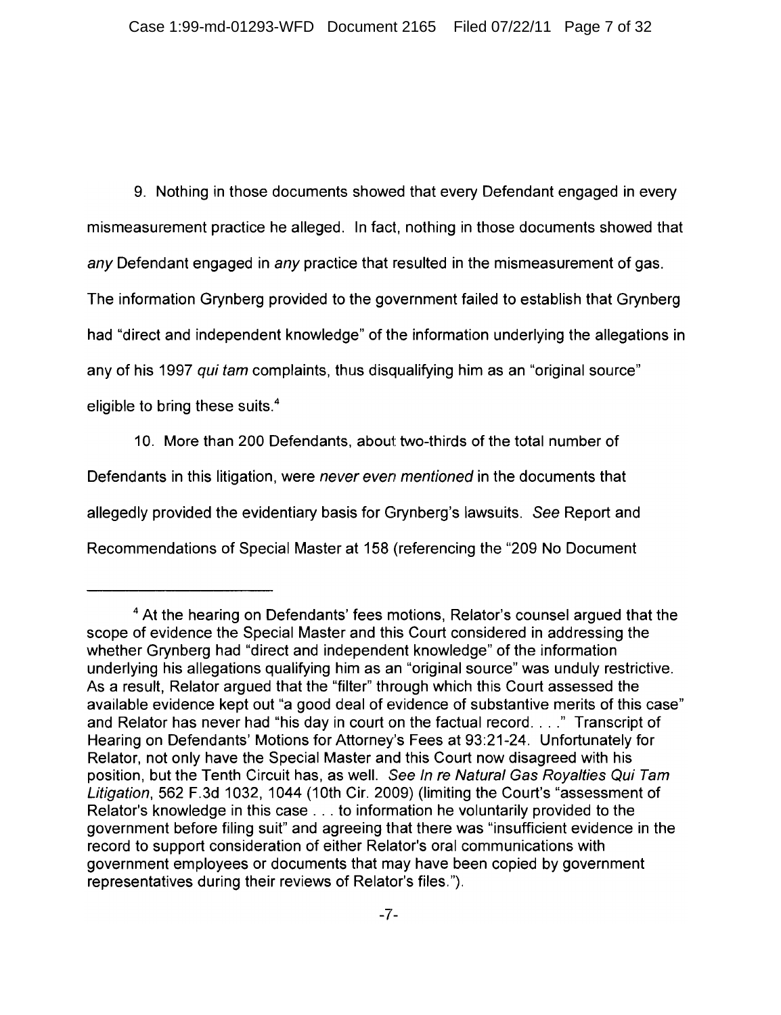9. Nothing in those documents showed that every Defendant engaged in every mismeasurement practice he alleged. In fact, nothing in those documents showed that any Defendant engaged in any practice that resulted in the mismeasurement of gas.

The information Grynberg provided to the government failed to establish that Grynberg

had "direct and independent knowledge" of the information underlying the allegations in

any of his 1997 qui tam complaints, thus disqualifying him as an "original source"

eligible to bring these suits.<sup>4</sup>

10. More than 200 Defendants, about two-thirds of the total number of Defendants in this litigation, were never even mentioned in the documents that allegedly provided the evidentiary basis for Grynberg's lawsuits. See Report and Recommendations of Special Master at 158 (referencing the "209 No Document"

<sup>&</sup>lt;sup>4</sup> At the hearing on Defendants' fees motions, Relator's counsel argued that the scope of evidence the Special Master and this Court considered in addressing the whether Grynberg had "direct and independent knowledge" of the information underlying his allegations qualifying him as an "original source" was unduly restrictive. As a result, Relator argued that the "filter" through which this Court assessed the available evidence kept out "a good deal of evidence of substantive merits of this case" and Relator has never had "his day in court on the factual record...." Transcript of Hearing on Defendants' Motions for Attorney's Fees at 93:21-24. Unfortunately for Relator, not only have the Special Master and this Court now disagreed with his position, but the Tenth Circuit has, as well. See In re Natural Gas Royalties Qui Tam Litigation, 562 F.3d 1032, 1044 (10th Cir. 2009) (limiting the Court's "assessment of Relator's knowledge in this case . . . to information he voluntarily provided to the government before filing suit" and agreeing that there was "insufficient evidence in the record to support consideration of either Relator's oral communications with government employees or documents that may have been copied by government representatives during their reviews of Relator's files.").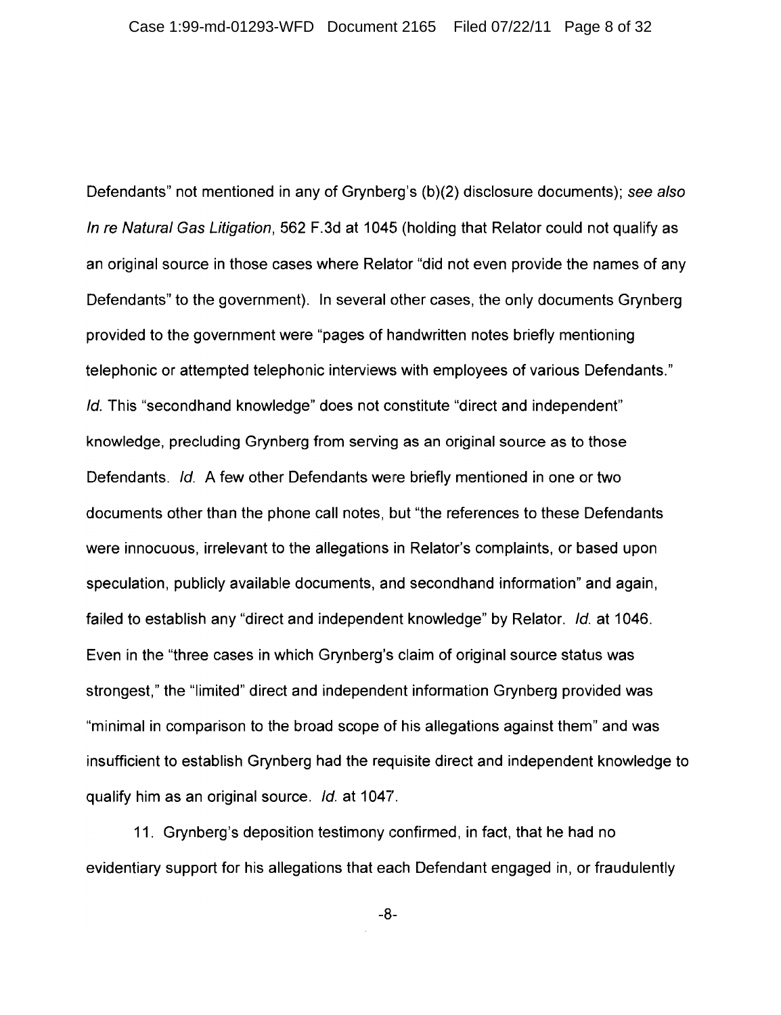Defendants" not mentioned in any of Grynberg's (b)(2) disclosure documents); see also In re Natural Gas Litigation, 562 F.3d at 1045 (holding that Relator could not qualify as an original source in those cases where Relator "did not even provide the names of any Defendants" to the government). In several other cases, the only documents Grynberg provided to the government were "pages of handwritten notes briefly mentioning telephonic or attempted telephonic interviews with employees of various Defendants." Id. This "secondhand knowledge" does not constitute "direct and independent" knowledge, precluding Grynberg from serving as an original source as to those Defendants. Id. A few other Defendants were briefly mentioned in one or two documents other than the phone call notes, but "the references to these Defendants were innocuous, irrelevant to the allegations in Relator's complaints, or based upon speculation, publicly available documents, and secondhand information" and again, failed to establish any "direct and independent knowledge" by Relator. Id. at 1046. Even in the "three cases in which Grynberg's claim of original source status was strongest," the "limited" direct and independent information Grynberg provided was "minimal in comparison to the broad scope of his allegations against them" and was insufficient to establish Grynberg had the requisite direct and independent knowledge to qualify him as an original source. Id. at 1047.

11. Grynberg's deposition testimony confirmed, in fact, that he had no evidentiary support for his allegations that each Defendant engaged in, or fraudulently

 $-8-$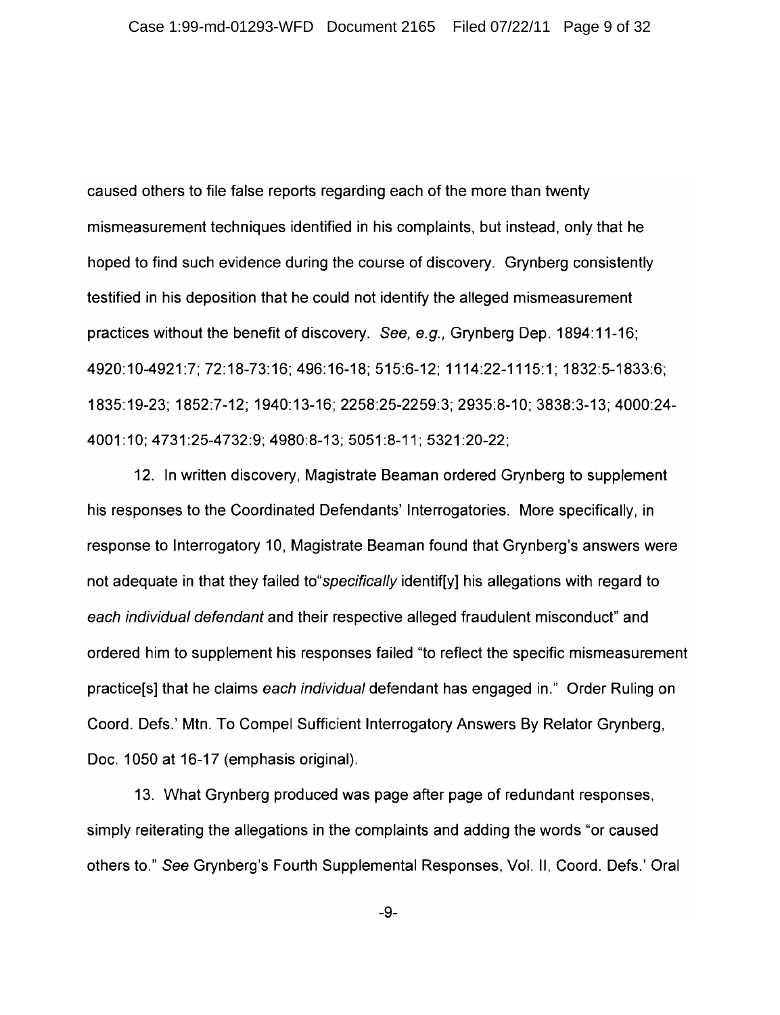caused others to file false reports regarding each of the more than twenty mismeasurement techniques identified in his complaints, but instead, only that he hoped to find such evidence during the course of discovery. Grynberg consistently testified in his deposition that he could not identify the alleged mismeasurement practices without the benefit of discovery. See, e.g., Grynberg Dep. 1894:11-16; 4920:10-4921:7; 72:18-73:16; 496:16-18; 515:6-12; 1114:22-1115:1; 1832:5-1833:6; 1835:19-23; 1852:7-12; 1940:13-16; 2258:25-2259:3; 2935:8-10; 3838:3-13; 4000:24-4001:10: 4731:25-4732:9: 4980:8-13: 5051:8-11: 5321:20-22;

12. In written discovery, Magistrate Beaman ordered Grynberg to supplement his responses to the Coordinated Defendants' Interrogatories. More specifically, in response to Interrogatory 10, Magistrate Beaman found that Grynberg's answers were not adequate in that they failed to *specifically* identif[y] his allegations with regard to each individual defendant and their respective alleged fraudulent misconduct" and ordered him to supplement his responses failed "to reflect the specific mismeasurement practice[s] that he claims each individual defendant has engaged in." Order Ruling on Coord. Defs.' Mtn. To Compel Sufficient Interrogatory Answers By Relator Grynberg, Doc. 1050 at 16-17 (emphasis original).

13. What Grynberg produced was page after page of redundant responses, simply reiterating the allegations in the complaints and adding the words "or caused others to." See Grynberg's Fourth Supplemental Responses, Vol. II, Coord, Defs.' Oral

 $-9-$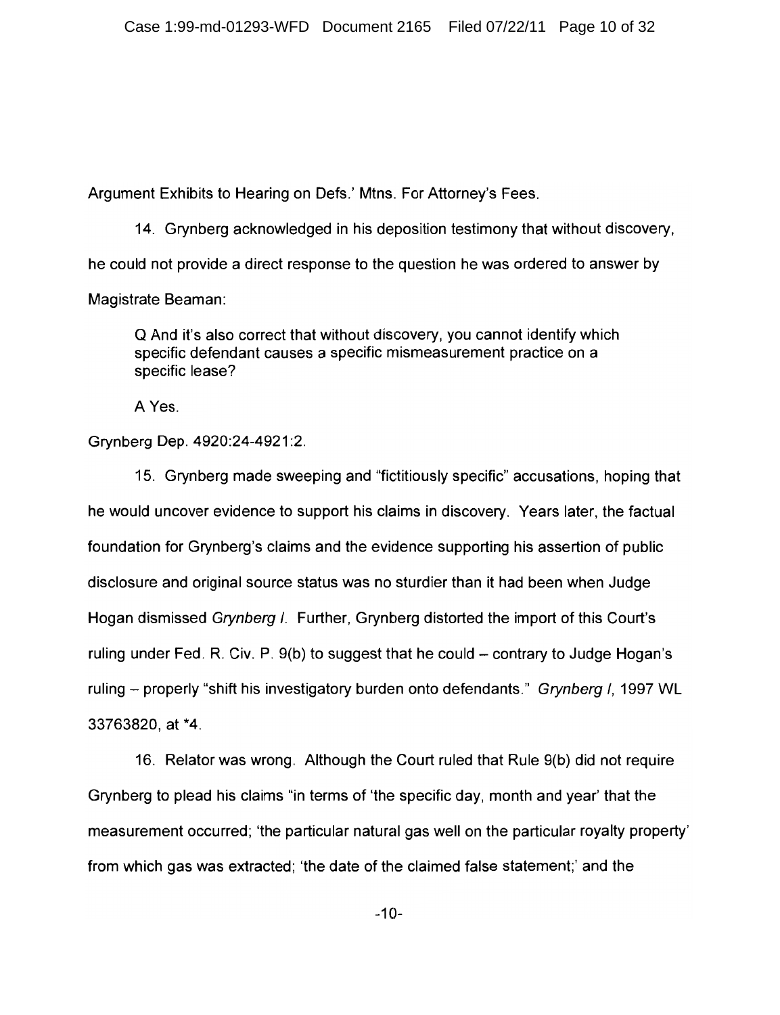Argument Exhibits to Hearing on Defs.' Mtns. For Attorney's Fees.

14. Grynberg acknowledged in his deposition testimony that without discovery. he could not provide a direct response to the question he was ordered to answer by Magistrate Beaman:

Q And it's also correct that without discovery, you cannot identify which specific defendant causes a specific mismeasurement practice on a specific lease?

A Yes.

Grynberg Dep. 4920:24-4921:2.

15. Grynberg made sweeping and "fictitiously specific" accusations, hoping that he would uncover evidence to support his claims in discovery. Years later, the factual foundation for Grynberg's claims and the evidence supporting his assertion of public disclosure and original source status was no sturdier than it had been when Judge Hogan dismissed Grynberg /. Further, Grynberg distorted the import of this Court's ruling under Fed. R. Civ. P. 9(b) to suggest that he could – contrary to Judge Hogan's ruling – properly "shift his investigatory burden onto defendants." Grynberg I, 1997 WL 33763820, at \*4.

16. Relator was wrong. Although the Court ruled that Rule 9(b) did not require Grynberg to plead his claims "in terms of 'the specific day, month and year' that the measurement occurred; 'the particular natural gas well on the particular royalty property' from which gas was extracted; 'the date of the claimed false statement;' and the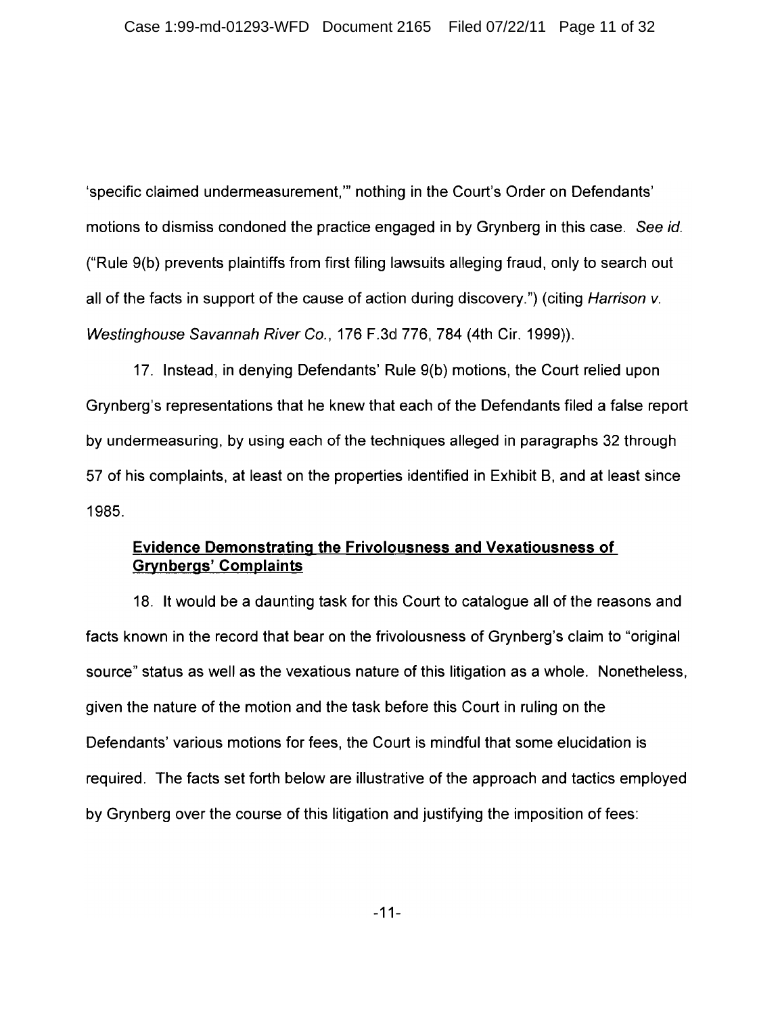'specific claimed undermeasurement," nothing in the Court's Order on Defendants' motions to dismiss condoned the practice engaged in by Grynberg in this case. See id. ("Rule 9(b) prevents plaintiffs from first filing lawsuits alleging fraud, only to search out all of the facts in support of the cause of action during discovery.") (citing *Harrison v.* Westinghouse Savannah River Co., 176 F.3d 776, 784 (4th Cir. 1999)).

17. Instead, in denying Defendants' Rule 9(b) motions, the Court relied upon Grynberg's representations that he knew that each of the Defendants filed a false report by undermeasuring, by using each of the techniques alleged in paragraphs 32 through 57 of his complaints, at least on the properties identified in Exhibit B, and at least since 1985.

### **Evidence Demonstrating the Frivolousness and Vexatiousness of Grynbergs' Complaints**

18. It would be a daunting task for this Court to catalogue all of the reasons and facts known in the record that bear on the frivolousness of Grynberg's claim to "original source" status as well as the vexatious nature of this litigation as a whole. Nonetheless, given the nature of the motion and the task before this Court in ruling on the Defendants' various motions for fees, the Court is mindful that some elucidation is required. The facts set forth below are illustrative of the approach and tactics employed by Grynberg over the course of this litigation and justifying the imposition of fees:

 $-11-$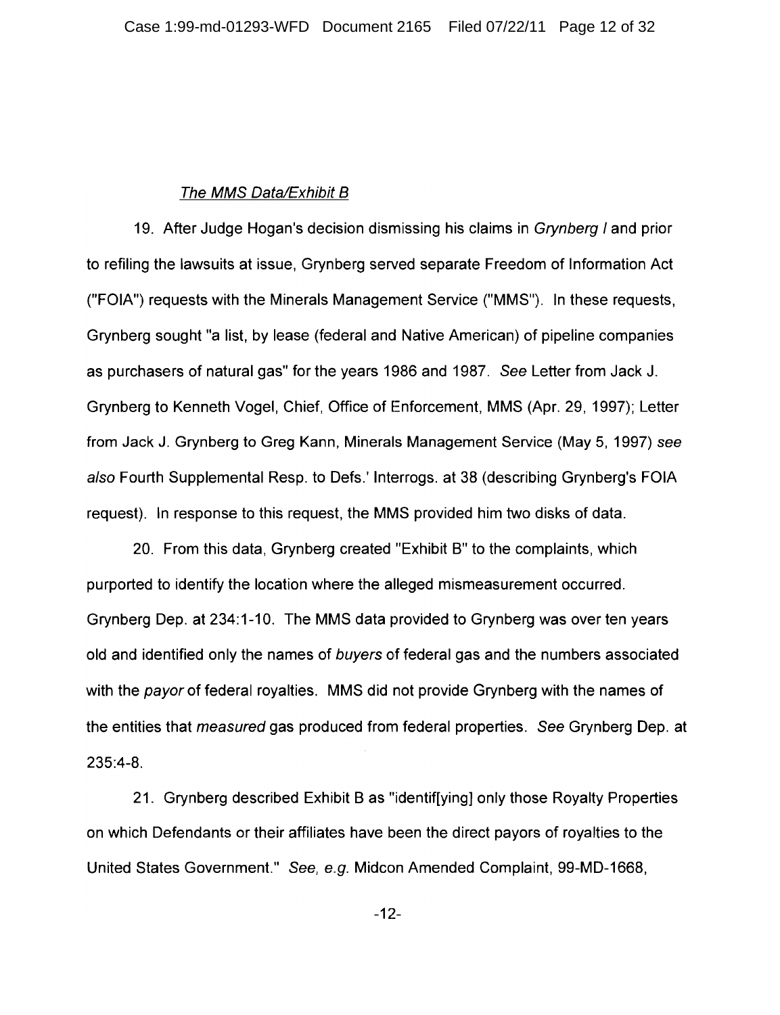#### The MMS Data/Exhibit B

19. After Judge Hogan's decision dismissing his claims in *Grynberg I* and prior to refiling the lawsuits at issue. Grynberg served separate Freedom of Information Act ("FOIA") requests with the Minerals Management Service ("MMS"). In these requests, Grynberg sought "a list, by lease (federal and Native American) of pipeline companies as purchasers of natural gas" for the years 1986 and 1987. See Letter from Jack J. Grynberg to Kenneth Vogel, Chief, Office of Enforcement, MMS (Apr. 29, 1997); Letter from Jack J. Grynberg to Greg Kann, Minerals Management Service (May 5, 1997) see also Fourth Supplemental Resp. to Defs.' Interrogs. at 38 (describing Grynberg's FOIA request). In response to this request, the MMS provided him two disks of data.

20. From this data, Grynberg created "Exhibit B" to the complaints, which purported to identify the location where the alleged mismeasurement occurred. Grynberg Dep. at 234:1-10. The MMS data provided to Grynberg was over ten years old and identified only the names of buyers of federal gas and the numbers associated with the payor of federal royalties. MMS did not provide Grynberg with the names of the entities that measured gas produced from federal properties. See Grynberg Dep. at  $235:4-8.$ 

21. Grynberg described Exhibit B as "identiffying) only those Royalty Properties on which Defendants or their affiliates have been the direct payors of royalties to the United States Government." See, e.g. Midcon Amended Complaint, 99-MD-1668,

 $-12-$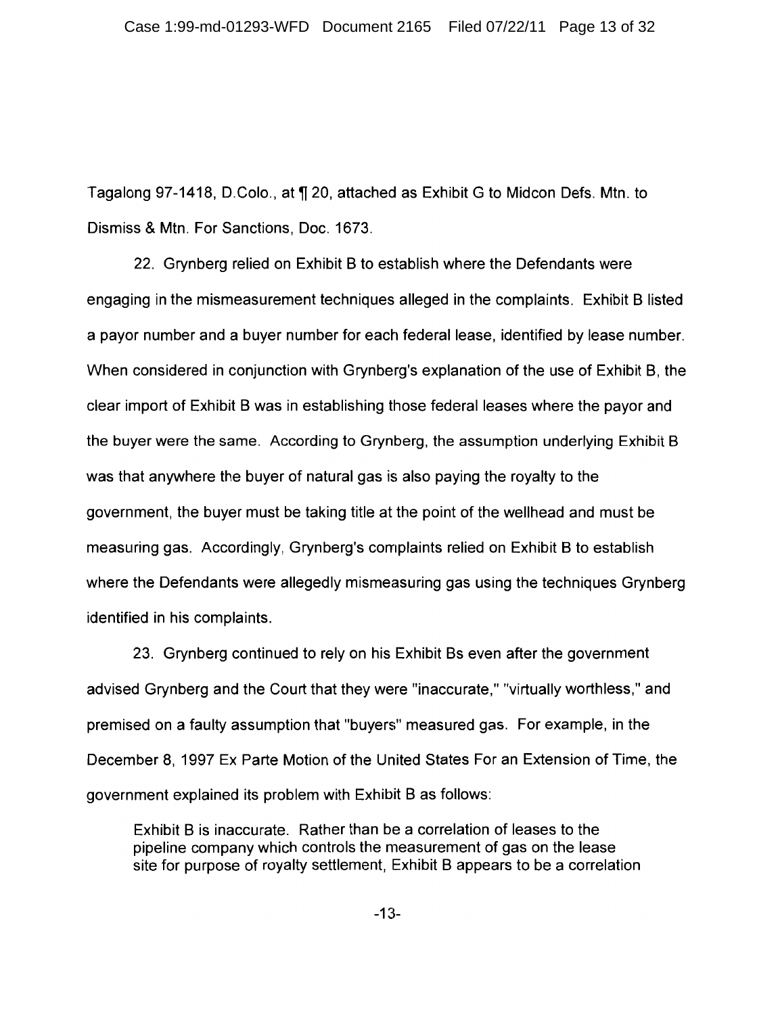Tagalong 97-1418, D.Colo., at ¶ 20, attached as Exhibit G to Midcon Defs. Mtn. to Dismiss & Mtn. For Sanctions, Doc. 1673.

22. Grynberg relied on Exhibit B to establish where the Defendants were engaging in the mismeasurement techniques alleged in the complaints. Exhibit B listed a payor number and a buyer number for each federal lease, identified by lease number. When considered in conjunction with Grynberg's explanation of the use of Exhibit B, the clear import of Exhibit B was in establishing those federal leases where the payor and the buyer were the same. According to Grynberg, the assumption underlying Exhibit B was that anywhere the buyer of natural gas is also paying the royalty to the government, the buyer must be taking title at the point of the wellhead and must be measuring gas. Accordingly, Grynberg's complaints relied on Exhibit B to establish where the Defendants were allegedly mismeasuring gas using the techniques Grynberg identified in his complaints.

23. Grynberg continued to rely on his Exhibit Bs even after the government advised Grynberg and the Court that they were "inaccurate," "virtually worthless," and premised on a faulty assumption that "buyers" measured gas. For example, in the December 8, 1997 Ex Parte Motion of the United States For an Extension of Time, the government explained its problem with Exhibit B as follows:

Exhibit B is inaccurate. Rather than be a correlation of leases to the pipeline company which controls the measurement of gas on the lease site for purpose of royalty settlement, Exhibit B appears to be a correlation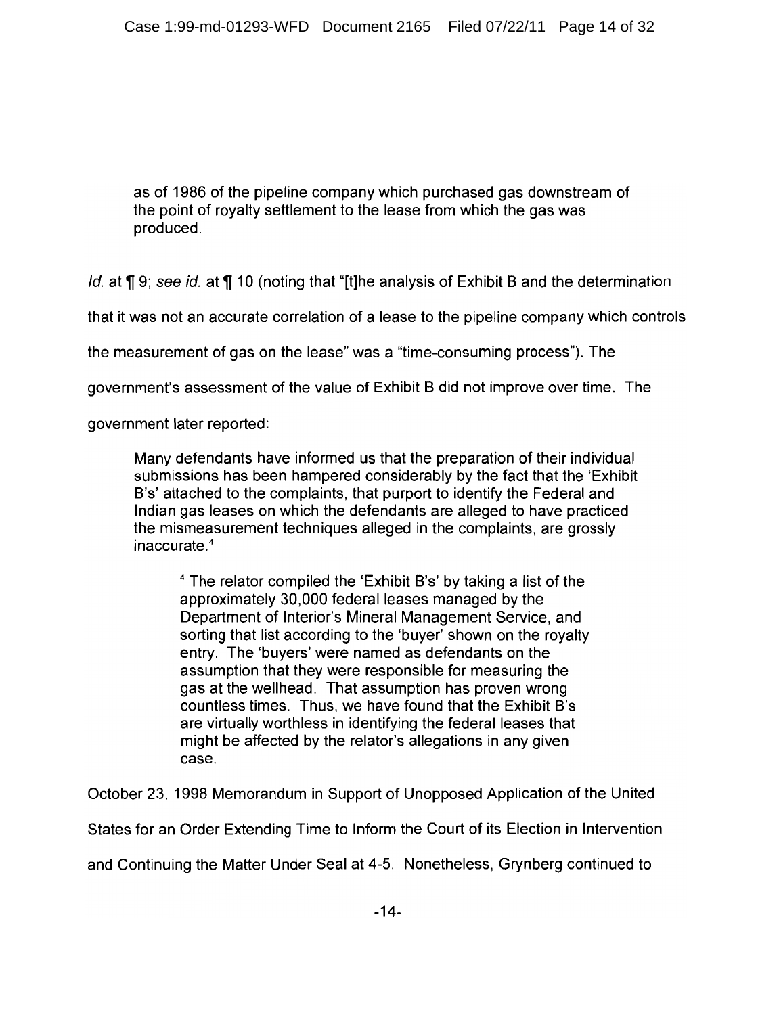as of 1986 of the pipeline company which purchased gas downstream of the point of royalty settlement to the lease from which the gas was produced.

Id. at ¶ 9: see id. at ¶ 10 (noting that "It]he analysis of Exhibit B and the determination

that it was not an accurate correlation of a lease to the pipeline company which controls

the measurement of gas on the lease" was a "time-consuming process"). The

government's assessment of the value of Exhibit B did not improve over time. The

government later reported:

Many defendants have informed us that the preparation of their individual submissions has been hampered considerably by the fact that the 'Exhibit B's' attached to the complaints, that purport to identify the Federal and Indian gas leases on which the defendants are alleged to have practiced the mismeasurement techniques alleged in the complaints, are grossly inaccurate.<sup>4</sup>

<sup>4</sup> The relator compiled the 'Exhibit B's' by taking a list of the approximately 30,000 federal leases managed by the Department of Interior's Mineral Management Service, and sorting that list according to the 'buyer' shown on the royalty entry. The 'buyers' were named as defendants on the assumption that they were responsible for measuring the gas at the wellhead. That assumption has proven wrong countless times. Thus, we have found that the Exhibit B's are virtually worthless in identifying the federal leases that might be affected by the relator's allegations in any given case.

October 23, 1998 Memorandum in Support of Unopposed Application of the United

States for an Order Extending Time to Inform the Court of its Election in Intervention

and Continuing the Matter Under Seal at 4-5. Nonetheless, Grynberg continued to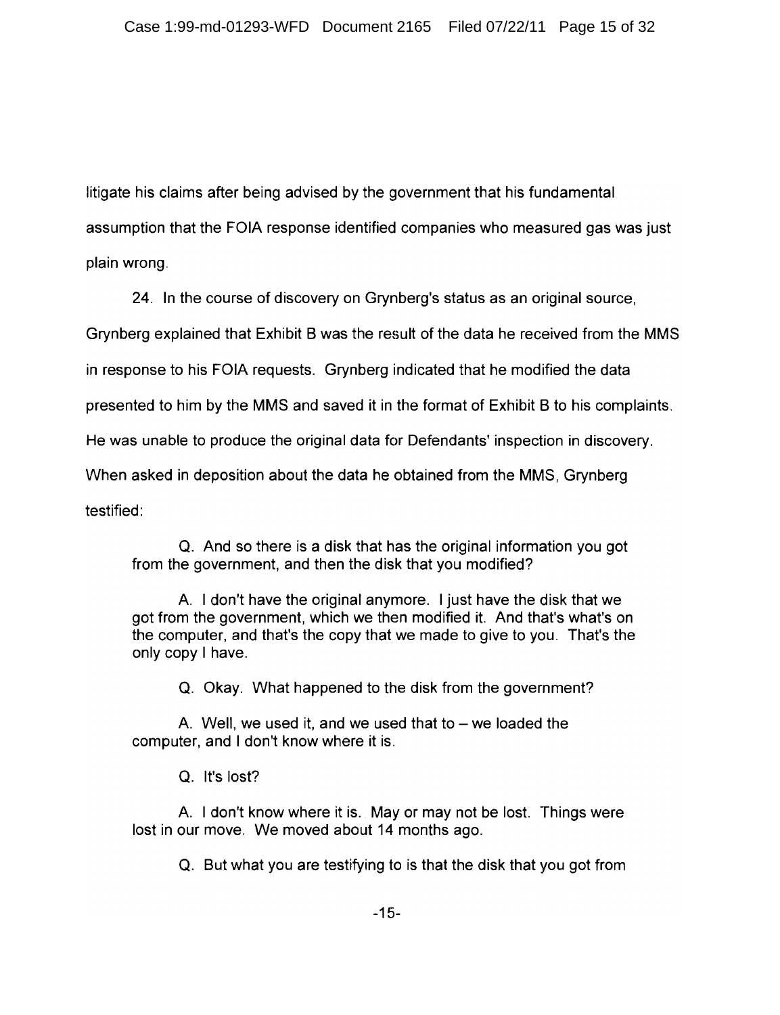litigate his claims after being advised by the government that his fundamental

assumption that the FOIA response identified companies who measured gas was just

plain wrong.

24. In the course of discovery on Grynberg's status as an original source.

Grynberg explained that Exhibit B was the result of the data he received from the MMS

in response to his FOIA requests. Grynberg indicated that he modified the data

presented to him by the MMS and saved it in the format of Exhibit B to his complaints.

He was unable to produce the original data for Defendants' inspection in discovery.

When asked in deposition about the data he obtained from the MMS, Grynberg

testified:

Q. And so there is a disk that has the original information you got from the government, and then the disk that you modified?

A. I don't have the original anymore. I just have the disk that we got from the government, which we then modified it. And that's what's on the computer, and that's the copy that we made to give to you. That's the only copy I have.

Q. Okay. What happened to the disk from the government?

A. Well, we used it, and we used that to  $-$  we loaded the computer, and I don't know where it is.

Q. It's lost?

A. I don't know where it is. May or may not be lost. Things were lost in our move. We moved about 14 months ago.

Q. But what you are testifying to is that the disk that you got from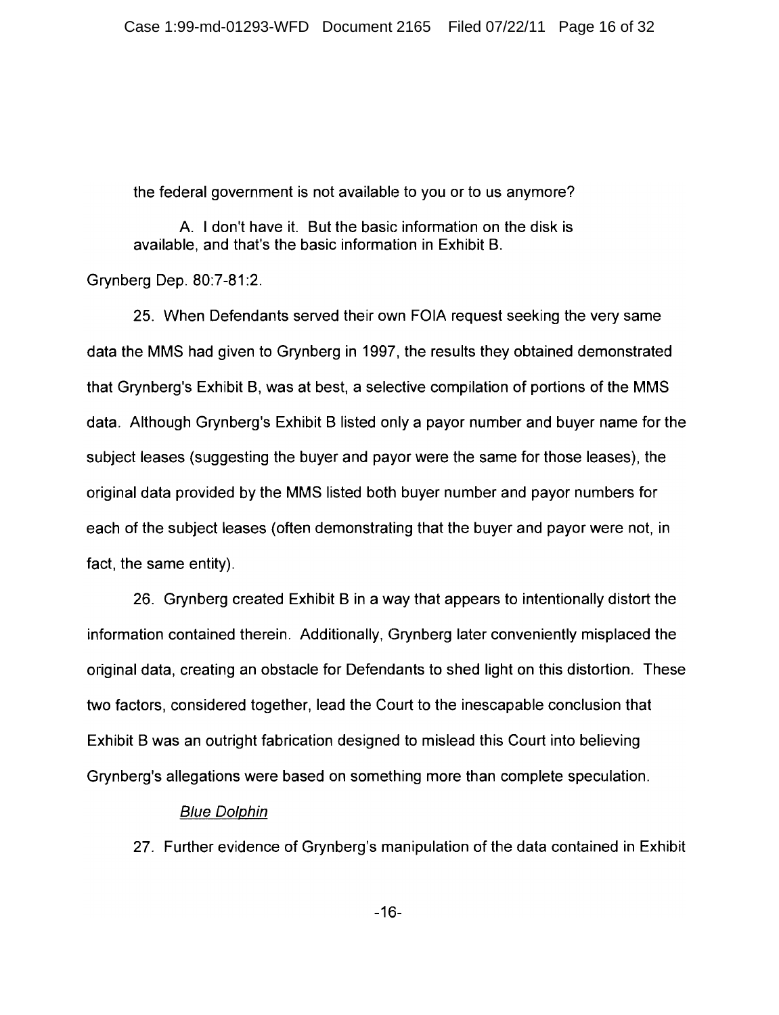the federal government is not available to you or to us anymore?

A. I don't have it. But the basic information on the disk is available, and that's the basic information in Exhibit B.

Grynberg Dep. 80:7-81:2.

25. When Defendants served their own FOIA request seeking the very same data the MMS had given to Grynberg in 1997, the results they obtained demonstrated that Grynberg's Exhibit B, was at best, a selective compilation of portions of the MMS data. Although Grynberg's Exhibit B listed only a payor number and buyer name for the subject leases (suggesting the buyer and payor were the same for those leases), the original data provided by the MMS listed both buyer number and payor numbers for each of the subject leases (often demonstrating that the buyer and payor were not, in fact, the same entity).

26. Grynberg created Exhibit B in a way that appears to intentionally distort the information contained therein. Additionally, Grynberg later conveniently misplaced the original data, creating an obstacle for Defendants to shed light on this distortion. These two factors, considered together, lead the Court to the inescapable conclusion that Exhibit B was an outright fabrication designed to mislead this Court into believing Grynberg's allegations were based on something more than complete speculation.

#### **Blue Dolphin**

27. Further evidence of Grynberg's manipulation of the data contained in Exhibit

 $-16-$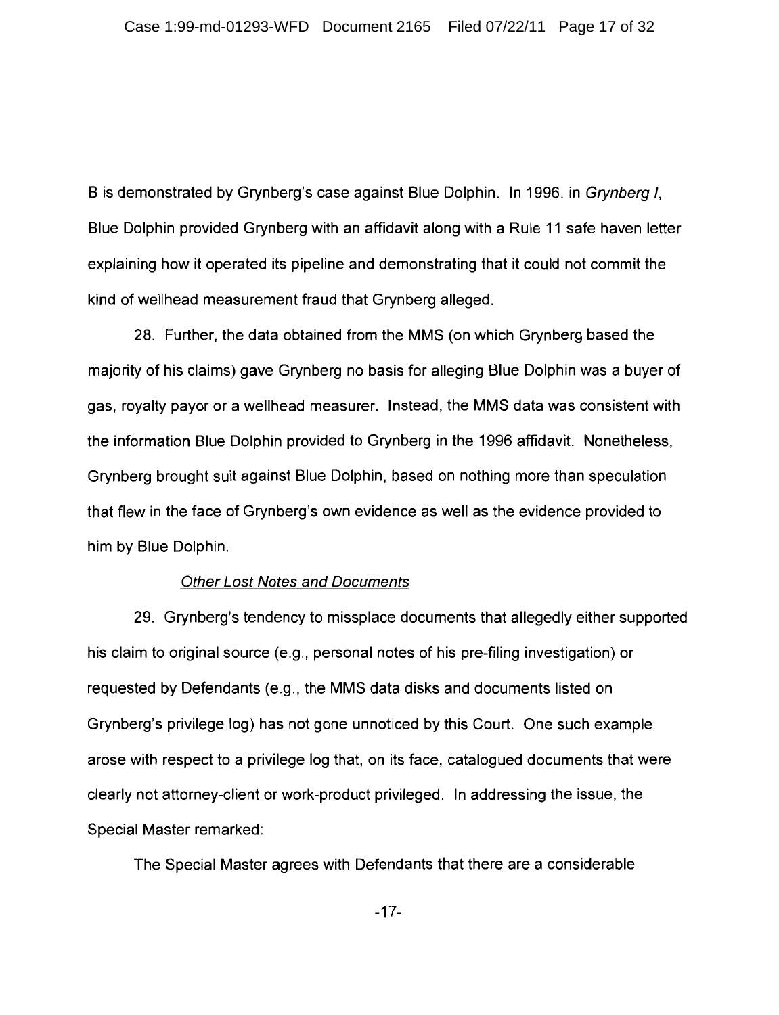B is demonstrated by Grynberg's case against Blue Dolphin. In 1996, in Grynberg I. Blue Dolphin provided Grynberg with an affidavit along with a Rule 11 safe haven letter explaining how it operated its pipeline and demonstrating that it could not commit the kind of wellhead measurement fraud that Grynberg alleged.

28. Further, the data obtained from the MMS (on which Grynberg based the majority of his claims) gave Grynberg no basis for alleging Blue Dolphin was a buyer of gas, royalty payor or a wellhead measurer. Instead, the MMS data was consistent with the information Blue Dolphin provided to Grynberg in the 1996 affidavit. Nonetheless, Grynberg brought suit against Blue Dolphin, based on nothing more than speculation that flew in the face of Grynberg's own evidence as well as the evidence provided to him by Blue Dolphin.

#### **Other Lost Notes and Documents**

29. Grynberg's tendency to missplace documents that allegedly either supported his claim to original source (e.g., personal notes of his pre-filing investigation) or requested by Defendants (e.g., the MMS data disks and documents listed on Grynberg's privilege log) has not gone unnoticed by this Court. One such example arose with respect to a privilege log that, on its face, catalogued documents that were clearly not attorney-client or work-product privileged. In addressing the issue, the Special Master remarked:

The Special Master agrees with Defendants that there are a considerable

 $-17-$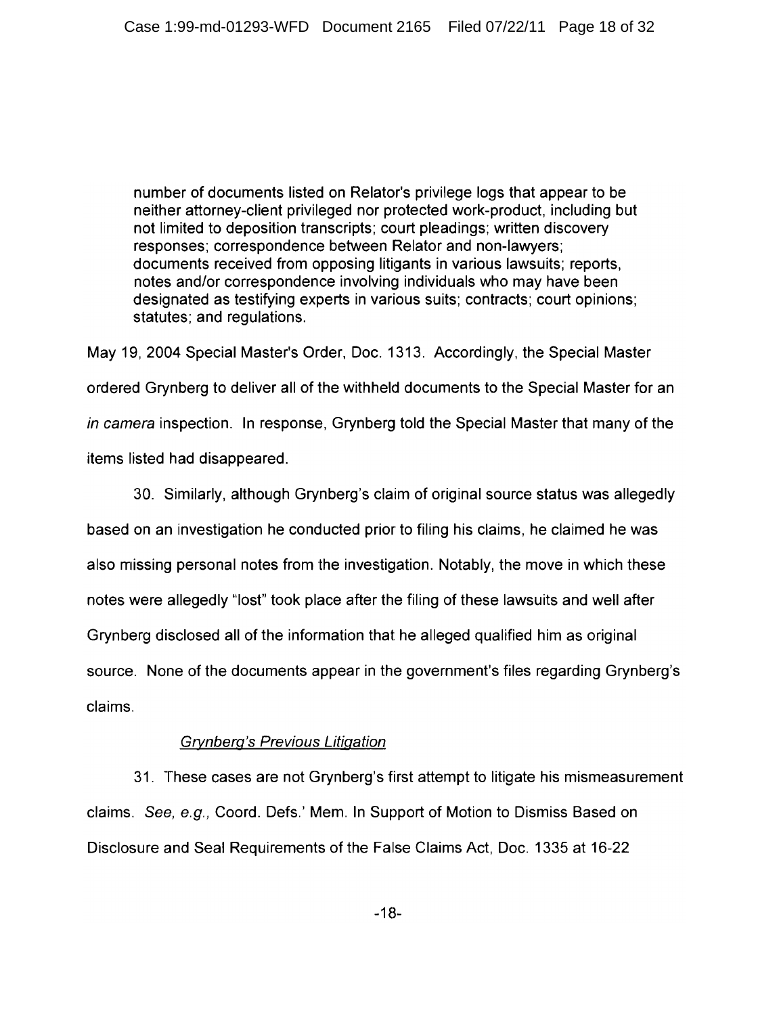number of documents listed on Relator's privilege logs that appear to be neither attorney-client privileged nor protected work-product, including but not limited to deposition transcripts; court pleadings; written discovery responses: correspondence between Relator and non-lawyers: documents received from opposing litigants in various lawsuits; reports, notes and/or correspondence involving individuals who may have been designated as testifying experts in various suits; contracts; court opinions; statutes: and regulations.

May 19, 2004 Special Master's Order, Doc. 1313. Accordingly, the Special Master ordered Grynberg to deliver all of the withheld documents to the Special Master for an in camera inspection. In response, Grynberg told the Special Master that many of the items listed had disappeared.

30. Similarly, although Grynberg's claim of original source status was allegedly based on an investigation he conducted prior to filing his claims, he claimed he was also missing personal notes from the investigation. Notably, the move in which these notes were allegedly "lost" took place after the filing of these lawsuits and well after Grynberg disclosed all of the information that he alleged qualified him as original source. None of the documents appear in the government's files regarding Grynberg's claims.

### **Grynberg's Previous Litigation**

31. These cases are not Grynberg's first attempt to litigate his mismeasurement claims. See, e.g., Coord. Defs.' Mem. In Support of Motion to Dismiss Based on Disclosure and Seal Requirements of the False Claims Act, Doc. 1335 at 16-22

 $-18-$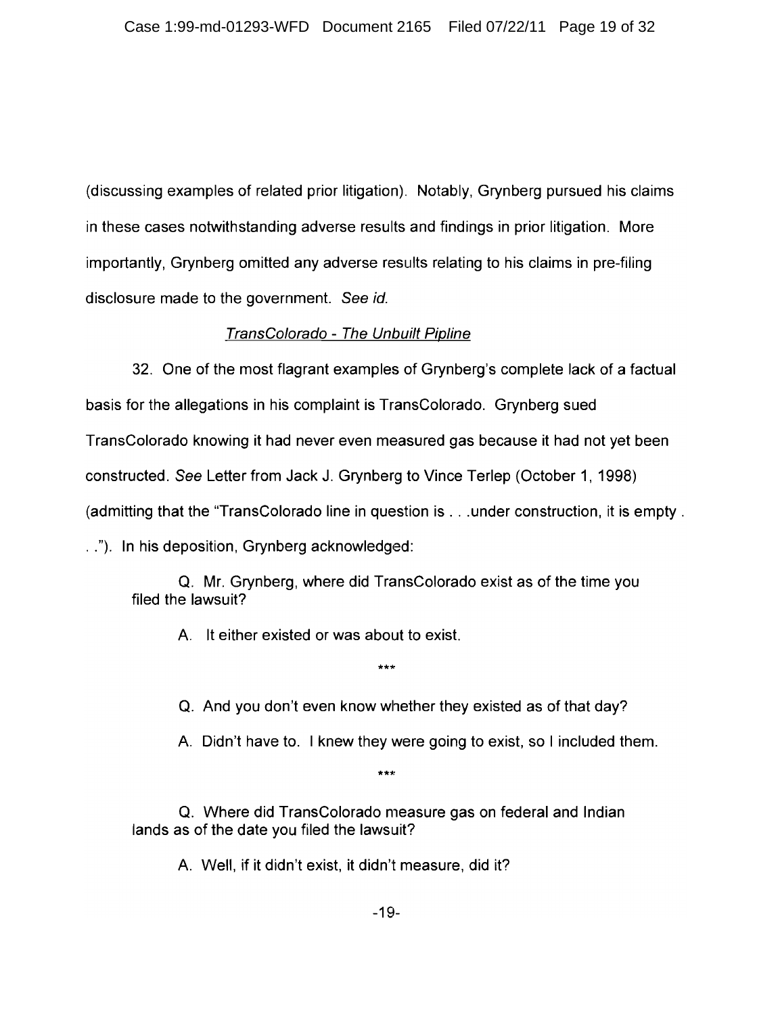(discussing examples of related prior litigation). Notably, Grynberg pursued his claims in these cases notwithstanding adverse results and findings in prior litigation. More importantly, Grynberg omitted any adverse results relating to his claims in pre-filing disclosure made to the government. See id.

### TransColorado - The Unbuilt Pipline

32. One of the most flagrant examples of Grynberg's complete lack of a factual basis for the allegations in his complaint is TransColorado. Grynberg sued TransColorado knowing it had never even measured gas because it had not yet been constructed. See Letter from Jack J. Grynberg to Vince Terlep (October 1, 1998) (admitting that the "TransColorado line in question is . . . under construction, it is empty . .."). In his deposition, Grynberg acknowledged:

Q. Mr. Grynberg, where did TransColorado exist as of the time you filed the lawsuit?

 $***$ 

A. It either existed or was about to exist.

Q. And you don't even know whether they existed as of that day?

A. Didn't have to. I knew they were going to exist, so I included them.

 $***$ 

Q. Where did TransColorado measure gas on federal and Indian lands as of the date you filed the lawsuit?

A. Well, if it didn't exist, it didn't measure, did it?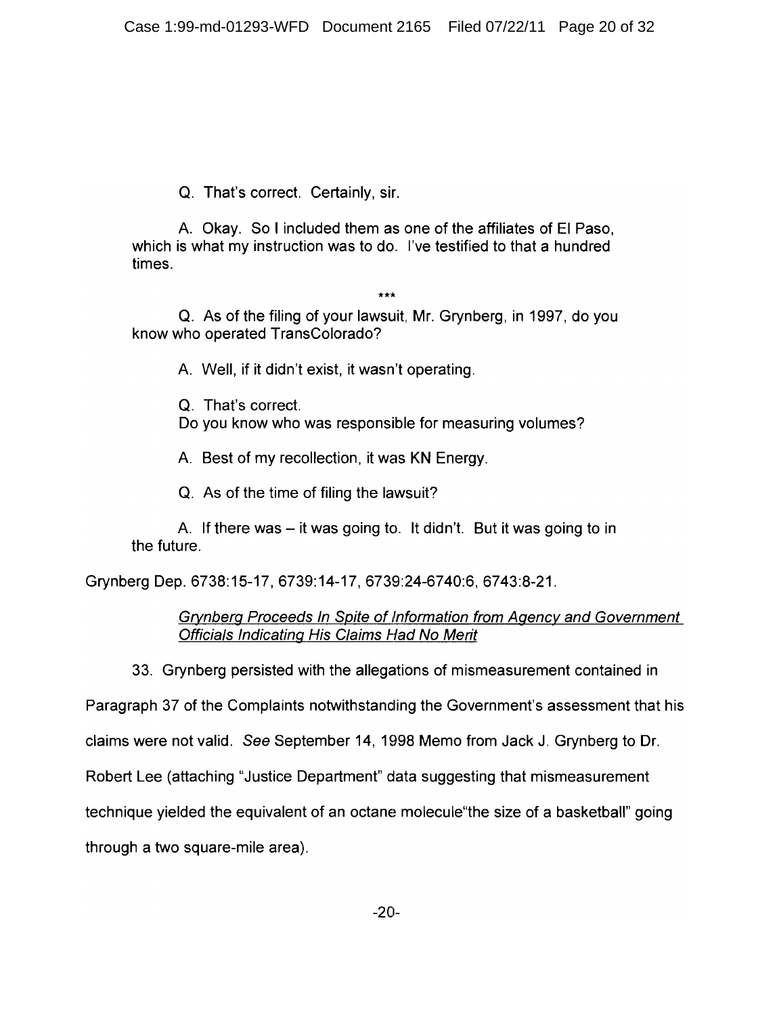Q. That's correct. Certainly, sir.

A. Okay. So I included them as one of the affiliates of El Paso, which is what my instruction was to do. I've testified to that a hundred times.

 $***$ 

Q. As of the filing of your lawsuit, Mr. Grynberg, in 1997, do you know who operated TransColorado?

A. Well, if it didn't exist, it wasn't operating.

Q. That's correct.

Do you know who was responsible for measuring volumes?

A. Best of my recollection, it was KN Energy.

Q. As of the time of filing the lawsuit?

A. If there was – it was going to. It didn't. But it was going to in the future.

Grynberg Dep. 6738:15-17, 6739:14-17, 6739:24-6740:6, 6743:8-21.

**Grynberg Proceeds In Spite of Information from Agency and Government Officials Indicating His Claims Had No Merit** 

33. Grynberg persisted with the allegations of mismeasurement contained in

Paragraph 37 of the Complaints notwithstanding the Government's assessment that his

claims were not valid. See September 14, 1998 Memo from Jack J. Grynberg to Dr.

Robert Lee (attaching "Justice Department" data suggesting that mismeasurement

technique yielded the equivalent of an octane molecule the size of a basketball" going

through a two square-mile area).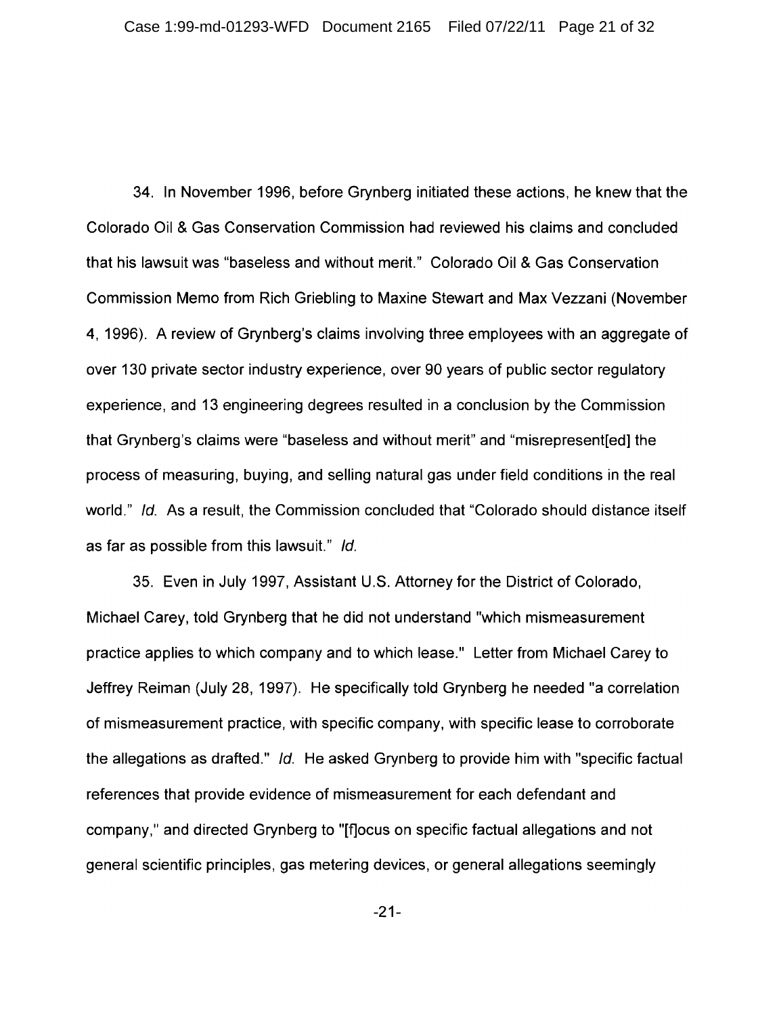34. In November 1996, before Grynberg initiated these actions, he knew that the Colorado Oil & Gas Conservation Commission had reviewed his claims and concluded that his lawsuit was "baseless and without merit." Colorado Oil & Gas Conservation Commission Memo from Rich Griebling to Maxine Stewart and Max Vezzani (November 4, 1996). A review of Grynberg's claims involving three employees with an aggregate of over 130 private sector industry experience, over 90 years of public sector regulatory experience, and 13 engineering degrees resulted in a conclusion by the Commission that Grynberg's claims were "baseless and without merit" and "misrepresent [ed] the process of measuring, buying, and selling natural gas under field conditions in the real world." Id. As a result, the Commission concluded that "Colorado should distance itself as far as possible from this lawsuit." Id.

35. Even in July 1997, Assistant U.S. Attorney for the District of Colorado, Michael Carey, told Grynberg that he did not understand "which mismeasurement" practice applies to which company and to which lease." Letter from Michael Carey to Jeffrey Reiman (July 28, 1997). He specifically told Grynberg he needed "a correlation of mismeasurement practice, with specific company, with specific lease to corroborate the allegations as drafted." Id. He asked Grynberg to provide him with "specific factual references that provide evidence of mismeasurement for each defendant and company," and directed Grynberg to "[flocus on specific factual allegations and not general scientific principles, gas metering devices, or general allegations seemingly

 $-21-$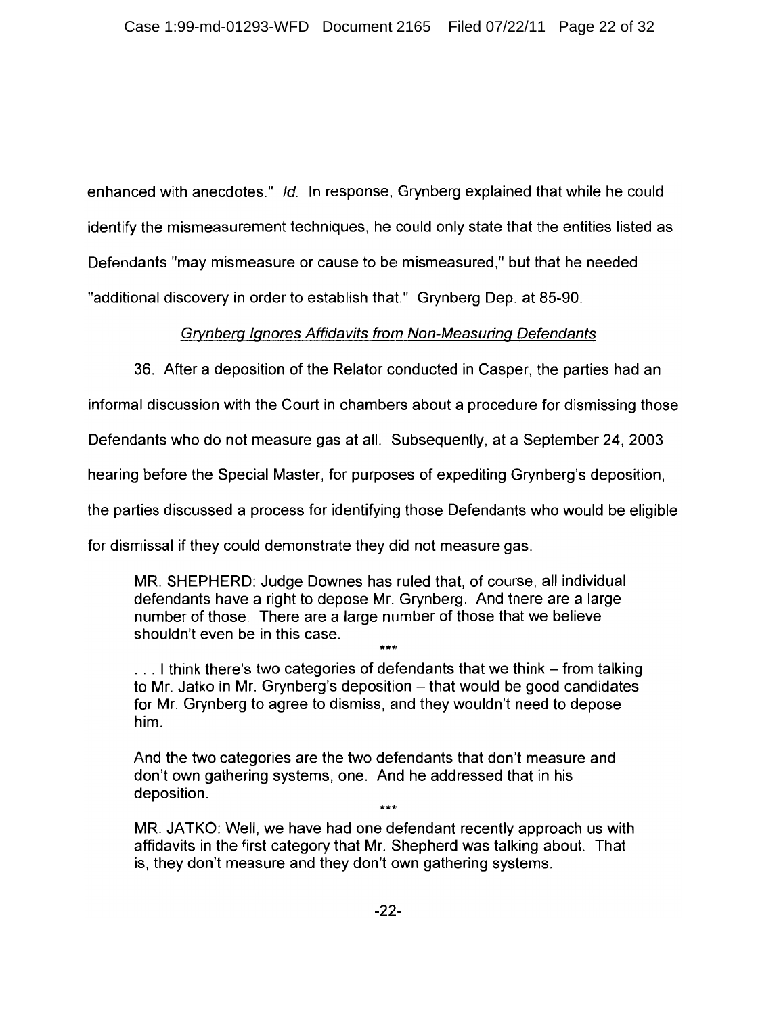enhanced with anecdotes." Id. In response, Grynberg explained that while he could identify the mismeasurement techniques, he could only state that the entities listed as Defendants "may mismeasure or cause to be mismeasured," but that he needed "additional discovery in order to establish that." Grynberg Dep. at 85-90.

### **Grynberg Ignores Affidavits from Non-Measuring Defendants**

36. After a deposition of the Relator conducted in Casper, the parties had an

informal discussion with the Court in chambers about a procedure for dismissing those

Defendants who do not measure gas at all. Subsequently, at a September 24, 2003

hearing before the Special Master, for purposes of expediting Grynberg's deposition.

the parties discussed a process for identifying those Defendants who would be eligible

for dismissal if they could demonstrate they did not measure gas.

MR. SHEPHERD: Judge Downes has ruled that, of course, all individual defendants have a right to depose Mr. Grynberg. And there are a large number of those. There are a large number of those that we believe shouldn't even be in this case.

... I think there's two categories of defendants that we think – from talking to Mr. Jatko in Mr. Grynberg's deposition - that would be good candidates for Mr. Grynberg to agree to dismiss, and they wouldn't need to depose him.

And the two categories are the two defendants that don't measure and don't own gathering systems, one. And he addressed that in his deposition.

MR. JATKO: Well, we have had one defendant recently approach us with affidavits in the first category that Mr. Shepherd was talking about. That is, they don't measure and they don't own gathering systems.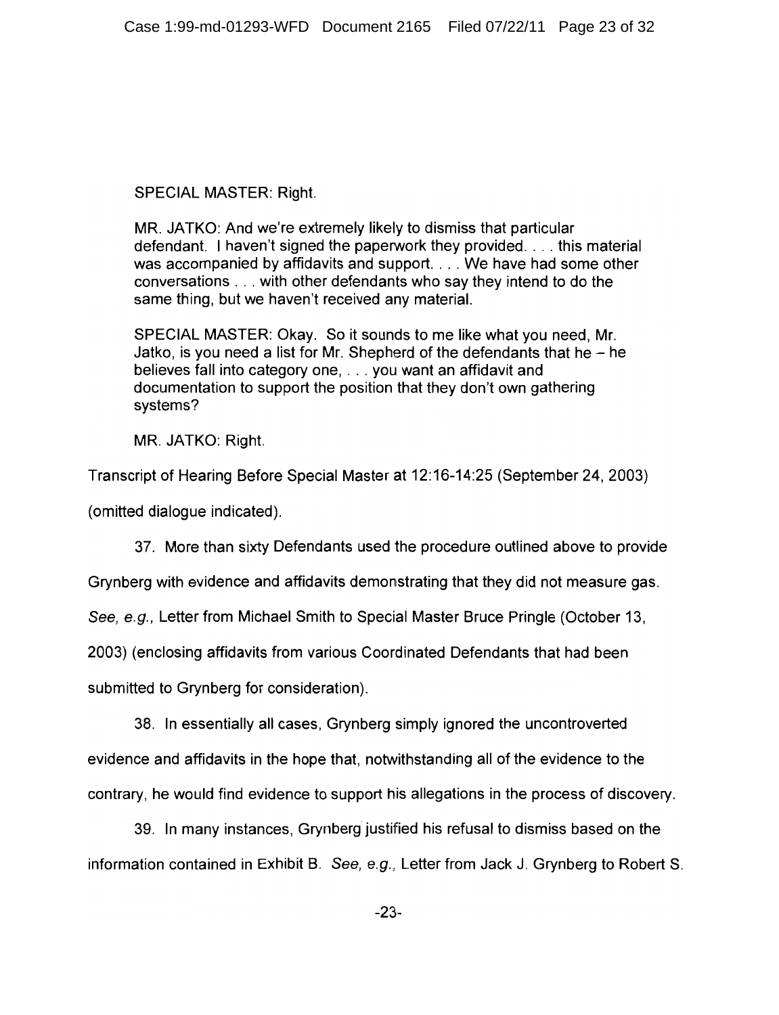**SPECIAL MASTER: Right.** 

MR. JATKO: And we're extremely likely to dismiss that particular defendant. I haven't signed the paperwork they provided... this material was accompanied by affidavits and support. . . . We have had some other conversations . . . with other defendants who say they intend to do the same thing, but we haven't received any material.

SPECIAL MASTER: Okay. So it sounds to me like what you need. Mr. Jatko, is you need a list for Mr. Shepherd of the defendants that he  $-$  he believes fall into category one. . . . you want an affidavit and documentation to support the position that they don't own gathering systems?

MR. JATKO: Right.

Transcript of Hearing Before Special Master at 12:16-14:25 (September 24, 2003)

(omitted dialogue indicated).

37. More than sixty Defendants used the procedure outlined above to provide

Grynberg with evidence and affidavits demonstrating that they did not measure gas.

See, e.g., Letter from Michael Smith to Special Master Bruce Pringle (October 13,

2003) (enclosing affidavits from various Coordinated Defendants that had been

submitted to Grynberg for consideration).

38. In essentially all cases, Grynberg simply ignored the uncontroverted evidence and affidavits in the hope that, notwithstanding all of the evidence to the contrary, he would find evidence to support his allegations in the process of discovery.

39. In many instances, Grynberg justified his refusal to dismiss based on the information contained in Exhibit B. See, e.g., Letter from Jack J. Grynberg to Robert S.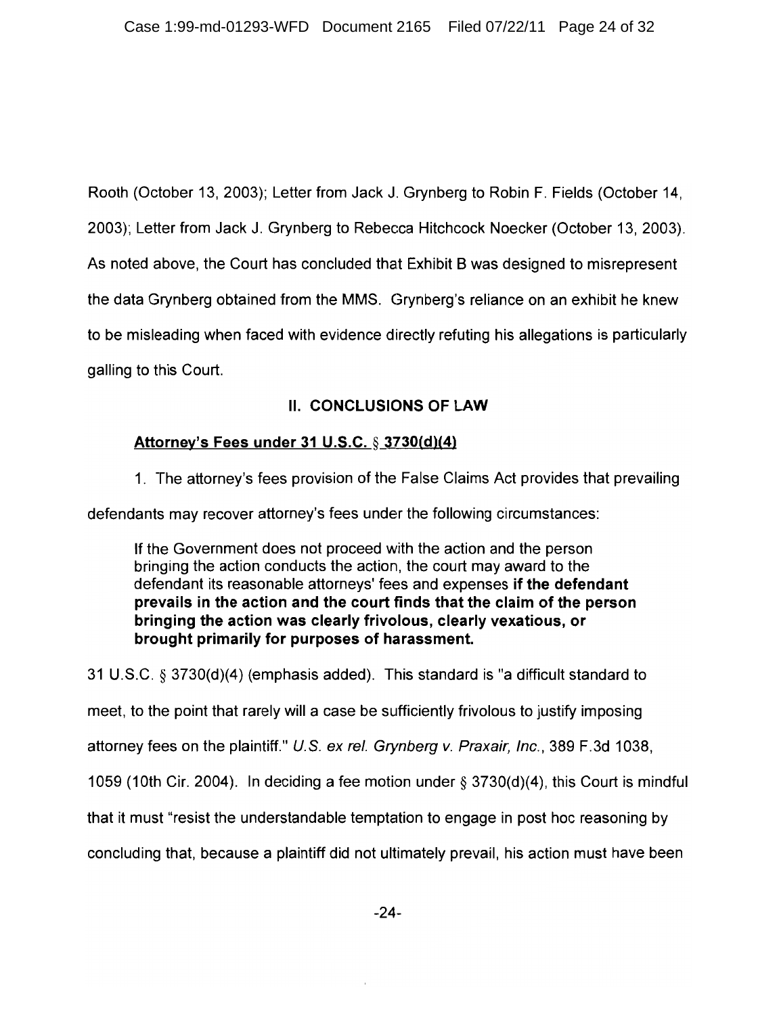Rooth (October 13, 2003); Letter from Jack J. Grynberg to Robin F. Fields (October 14. 2003); Letter from Jack J. Grynberg to Rebecca Hitchcock Noecker (October 13, 2003). As noted above, the Court has concluded that Exhibit B was designed to misrepresent the data Grynberg obtained from the MMS. Grynberg's reliance on an exhibit he knew to be misleading when faced with evidence directly refuting his allegations is particularly galling to this Court.

## **II. CONCLUSIONS OF LAW**

## Attorney's Fees under 31 U.S.C. § 3730(d)(4)

1. The attorney's fees provision of the False Claims Act provides that prevailing

defendants may recover attorney's fees under the following circumstances:

If the Government does not proceed with the action and the person bringing the action conducts the action, the court may award to the defendant its reasonable attorneys' fees and expenses if the defendant prevails in the action and the court finds that the claim of the person bringing the action was clearly frivolous, clearly vexatious, or brought primarily for purposes of harassment.

31 U.S.C. § 3730(d)(4) (emphasis added). This standard is "a difficult standard to meet, to the point that rarely will a case be sufficiently frivolous to justify imposing attorney fees on the plaintiff." U.S. ex rel. Grynberg v. Praxair, Inc., 389 F.3d 1038, 1059 (10th Cir. 2004). In deciding a fee motion under  $\S$  3730(d)(4), this Court is mindful that it must "resist the understandable temptation to engage in post hoc reasoning by concluding that, because a plaintiff did not ultimately prevail, his action must have been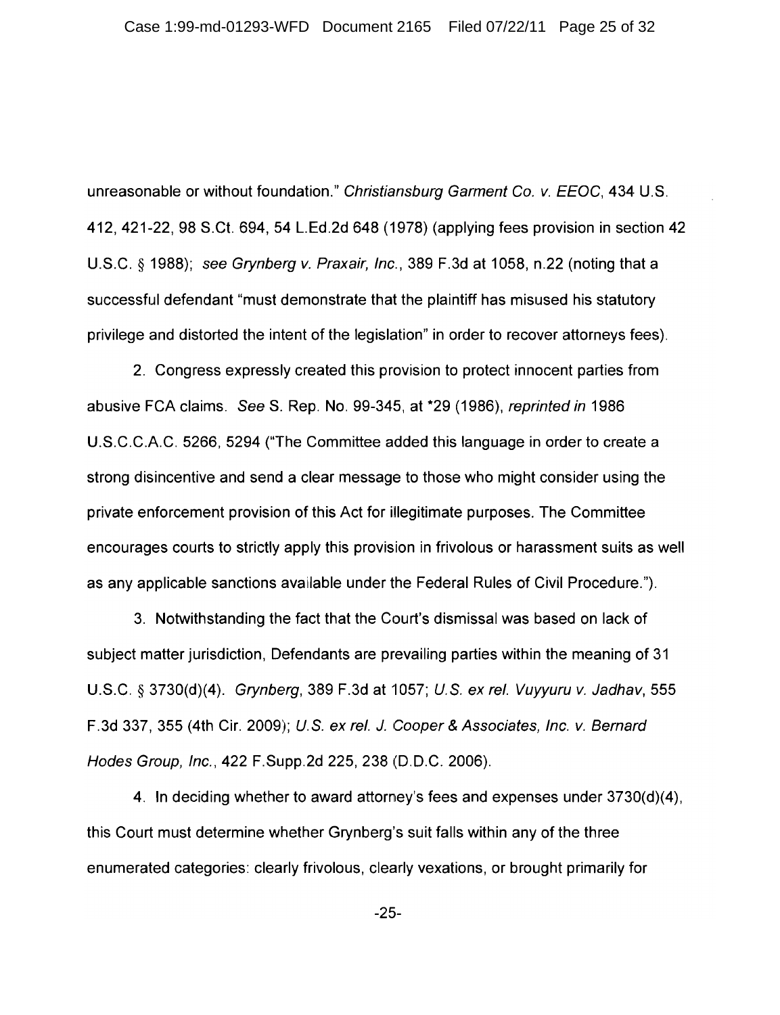unreasonable or without foundation." Christiansburg Garment Co. v. EEOC, 434 U.S. 412, 421-22, 98 S.Ct. 694, 54 L.Ed.2d 648 (1978) (applying fees provision in section 42 U.S.C. § 1988); see Grynberg v. Praxair, Inc., 389 F.3d at 1058, n.22 (noting that a successful defendant "must demonstrate that the plaintiff has misused his statutory privilege and distorted the intent of the legislation" in order to recover attorneys fees).

2. Congress expressly created this provision to protect innocent parties from abusive FCA claims. See S. Rep. No. 99-345, at \*29 (1986), reprinted in 1986 U.S.C.C.A.C. 5266, 5294 ("The Committee added this language in order to create a strong disincentive and send a clear message to those who might consider using the private enforcement provision of this Act for illegitimate purposes. The Committee encourages courts to strictly apply this provision in frivolous or harassment suits as well as any applicable sanctions available under the Federal Rules of Civil Procedure.").

3. Notwithstanding the fact that the Court's dismissal was based on lack of subject matter jurisdiction, Defendants are prevailing parties within the meaning of 31 U.S.C. § 3730(d)(4). Grynberg, 389 F.3d at 1057; U.S. ex rel. Vuyyuru v. Jadhav, 555 F.3d 337, 355 (4th Cir. 2009); U.S. ex rel. J. Cooper & Associates, Inc. v. Bernard Hodes Group, Inc., 422 F.Supp.2d 225, 238 (D.D.C. 2006).

4. In deciding whether to award attorney's fees and expenses under 3730(d)(4), this Court must determine whether Grynberg's suit falls within any of the three enumerated categories: clearly frivolous, clearly vexations, or brought primarily for

 $-25-$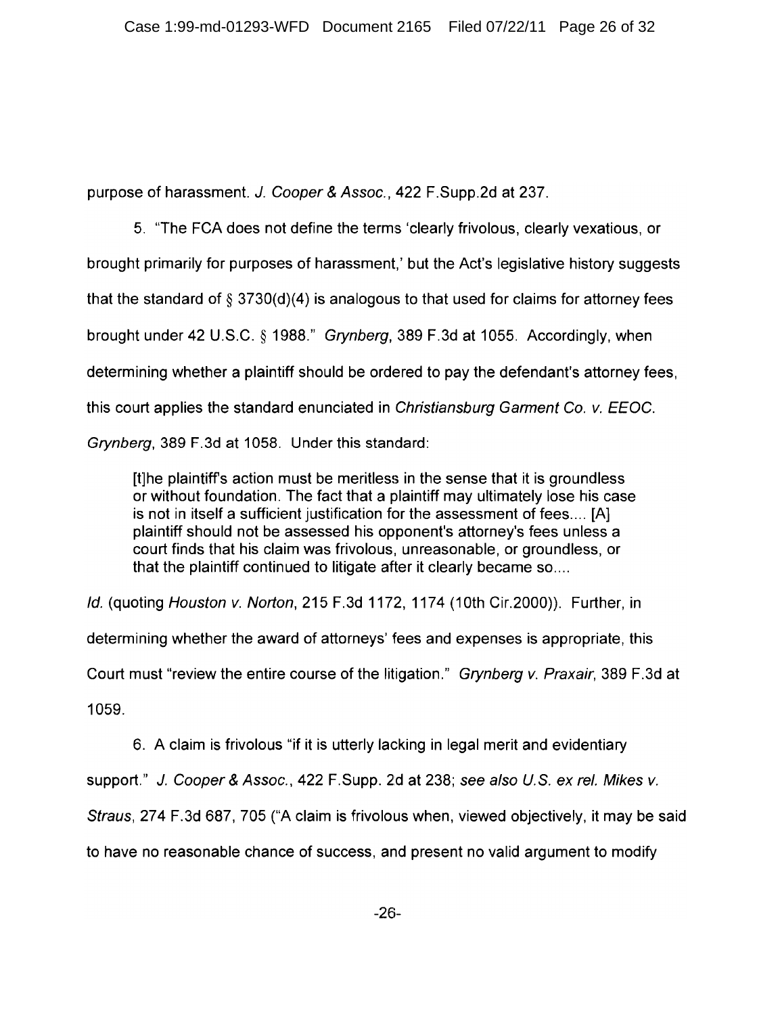purpose of harassment. J. Cooper & Assoc., 422 F. Supp.2d at 237.

5. "The FCA does not define the terms 'clearly frivolous, clearly vexatious, or brought primarily for purposes of harassment,' but the Act's legislative history suggests that the standard of  $\S$  3730(d)(4) is analogous to that used for claims for attorney fees brought under 42 U.S.C. § 1988." Grynberg, 389 F.3d at 1055. Accordingly, when determining whether a plaintiff should be ordered to pay the defendant's attorney fees. this court applies the standard enunciated in Christiansburg Garment Co. v. EEOC. Grynberg, 389 F.3d at 1058. Under this standard:

[t]he plaintiff's action must be meritless in the sense that it is groundless or without foundation. The fact that a plaintiff may ultimately lose his case is not in itself a sufficient justification for the assessment of fees.... [A] plaintiff should not be assessed his opponent's attorney's fees unless a court finds that his claim was frivolous, unreasonable, or groundless, or that the plaintiff continued to litigate after it clearly became so....

Id. (quoting Houston v. Norton, 215 F.3d 1172, 1174 (10th Cir.2000)). Further, in

determining whether the award of attorneys' fees and expenses is appropriate, this

Court must "review the entire course of the litigation." Grynberg v. Praxair, 389 F.3d at

1059.

6. A claim is frivolous "if it is utterly lacking in legal merit and evidentiary

support." J. Cooper & Assoc., 422 F. Supp. 2d at 238; see also U.S. ex rel. Mikes v.

Straus, 274 F.3d 687, 705 ("A claim is frivolous when, viewed objectively, it may be said

to have no reasonable chance of success, and present no valid argument to modify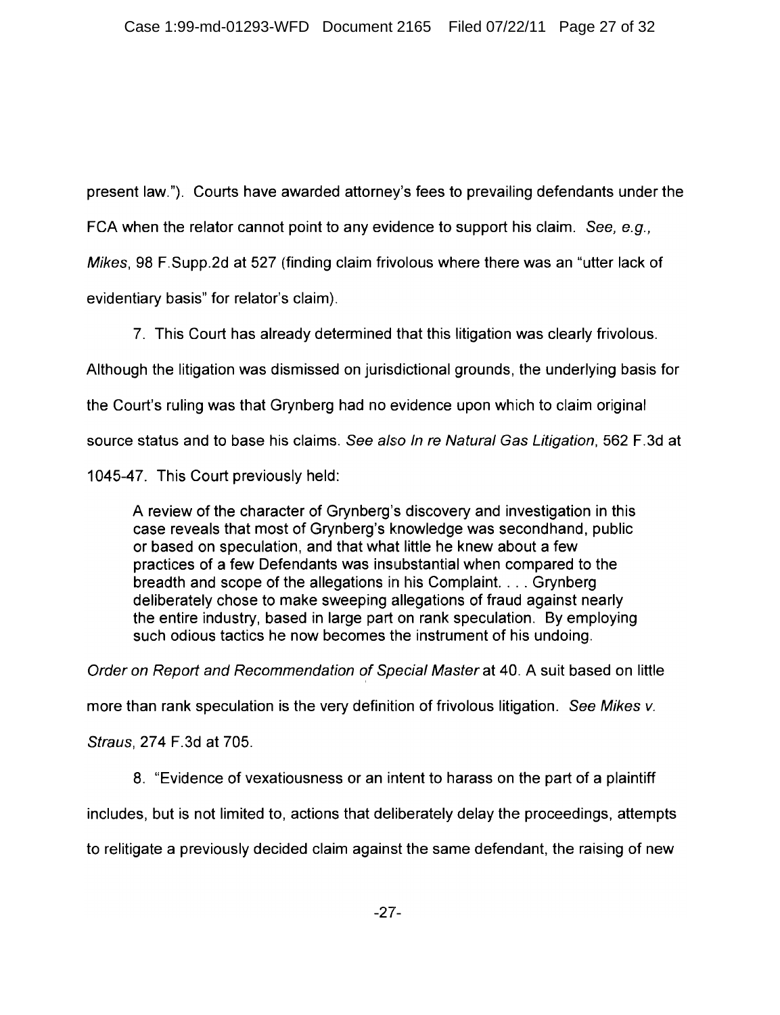present law."). Courts have awarded attorney's fees to prevailing defendants under the FCA when the relator cannot point to any evidence to support his claim. See, e.g., Mikes, 98 F. Supp. 2d at 527 (finding claim frivolous where there was an "utter lack of evidentiary basis" for relator's claim).

7. This Court has already determined that this litigation was clearly frivolous. Although the litigation was dismissed on jurisdictional grounds, the underlying basis for the Court's ruling was that Grynberg had no evidence upon which to claim original source status and to base his claims. See also In re Natural Gas Litigation, 562 F.3d at

1045-47. This Court previously held:

A review of the character of Grynberg's discovery and investigation in this case reveals that most of Grynberg's knowledge was secondhand, public or based on speculation, and that what little he knew about a few practices of a few Defendants was insubstantial when compared to the breadth and scope of the allegations in his Complaint. . . . Grynberg deliberately chose to make sweeping allegations of fraud against nearly the entire industry, based in large part on rank speculation. By employing such odious tactics he now becomes the instrument of his undoing.

Order on Report and Recommendation of Special Master at 40. A suit based on little

more than rank speculation is the very definition of frivolous litigation. See Mikes v.

Straus, 274 F.3d at 705.

8. "Evidence of vexatiousness or an intent to harass on the part of a plaintiff

includes, but is not limited to, actions that deliberately delay the proceedings, attempts

to relitigate a previously decided claim against the same defendant, the raising of new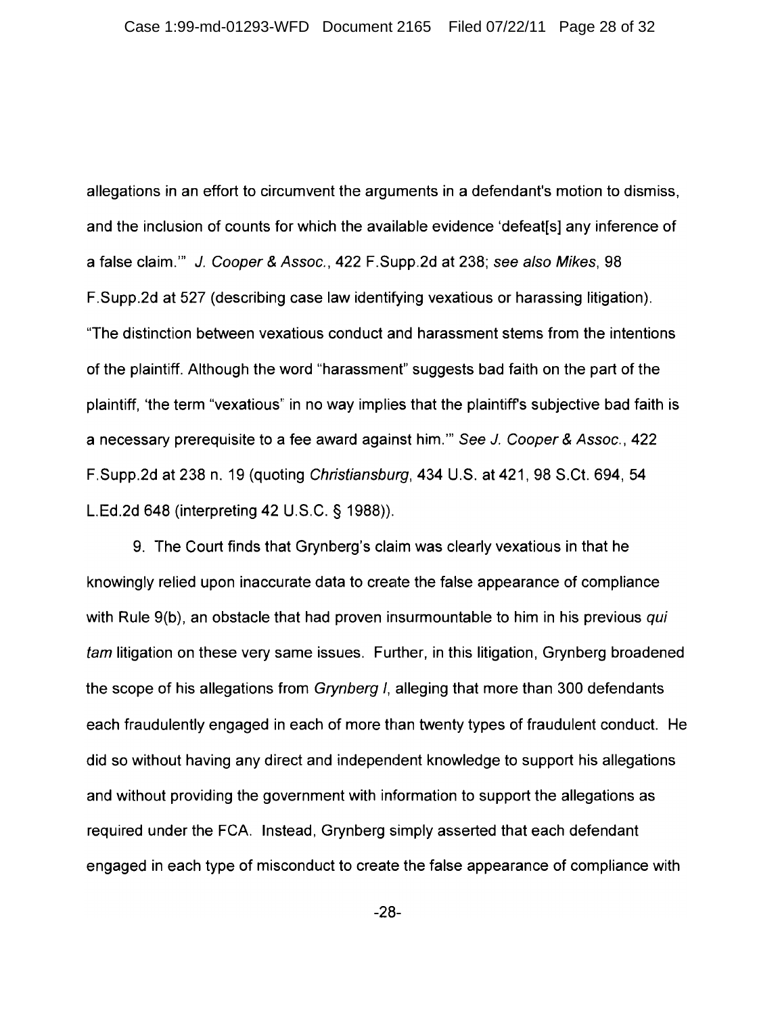allegations in an effort to circumvent the arguments in a defendant's motion to dismiss, and the inclusion of counts for which the available evidence 'defeat[s] any inference of a false claim."" J. Cooper & Assoc., 422 F. Supp. 2d at 238; see also Mikes, 98 F.Supp.2d at 527 (describing case law identifying vexatious or harassing litigation). "The distinction between vexatious conduct and harassment stems from the intentions of the plaintiff. Although the word "harassment" suggests bad faith on the part of the plaintiff, 'the term "vexatious" in no way implies that the plaintiff's subjective bad faith is a necessary prerequisite to a fee award against him." See J. Cooper & Assoc., 422 F.Supp.2d at 238 n. 19 (quoting Christiansburg, 434 U.S. at 421, 98 S.Ct. 694, 54 L.Ed.2d 648 (interpreting 42 U.S.C. § 1988)).

9. The Court finds that Grynberg's claim was clearly vexatious in that he knowingly relied upon inaccurate data to create the false appearance of compliance with Rule 9(b), an obstacle that had proven insurmountable to him in his previous qui *tam* litigation on these very same issues. Further, in this litigation, Grynberg broadened the scope of his allegations from *Grynberg I*, alleging that more than 300 defendants each fraudulently engaged in each of more than twenty types of fraudulent conduct. He did so without having any direct and independent knowledge to support his allegations and without providing the government with information to support the allegations as required under the FCA. Instead, Grynberg simply asserted that each defendant engaged in each type of misconduct to create the false appearance of compliance with

 $-28-$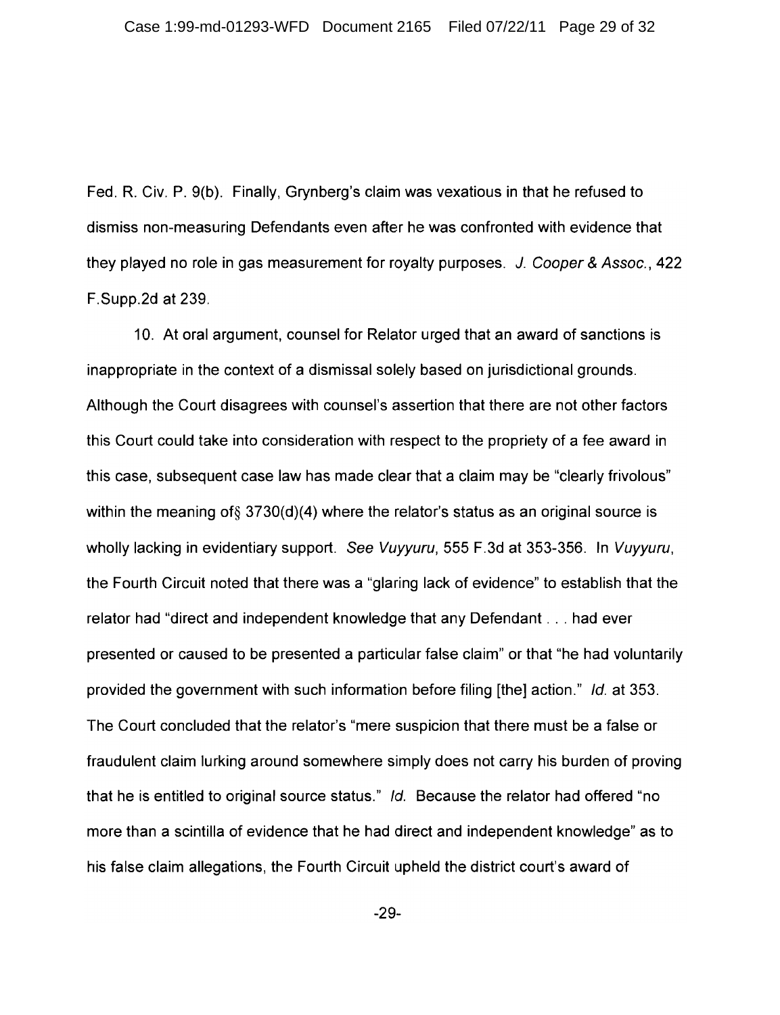Fed. R. Civ. P. 9(b). Finally, Grynberg's claim was vexatious in that he refused to dismiss non-measuring Defendants even after he was confronted with evidence that they played no role in gas measurement for royalty purposes. J. Cooper & Assoc., 422 F.Supp.2d at 239.

10. At oral argument, counsel for Relator urged that an award of sanctions is inappropriate in the context of a dismissal solely based on jurisdictional grounds. Although the Court disagrees with counsel's assertion that there are not other factors this Court could take into consideration with respect to the propriety of a fee award in this case, subsequent case law has made clear that a claim may be "clearly frivolous" within the meaning of  $\S 3730(d)(4)$  where the relator's status as an original source is wholly lacking in evidentiary support. See Vuyyuru, 555 F.3d at 353-356. In Vuyyuru, the Fourth Circuit noted that there was a "glaring lack of evidence" to establish that the relator had "direct and independent knowledge that any Defendant . . . had ever presented or caused to be presented a particular false claim" or that "he had voluntarily provided the government with such information before filing [the] action." Id. at 353. The Court concluded that the relator's "mere suspicion that there must be a false or fraudulent claim lurking around somewhere simply does not carry his burden of proving that he is entitled to original source status." Id. Because the relator had offered "no more than a scintilla of evidence that he had direct and independent knowledge" as to his false claim allegations, the Fourth Circuit upheld the district court's award of

 $-29-$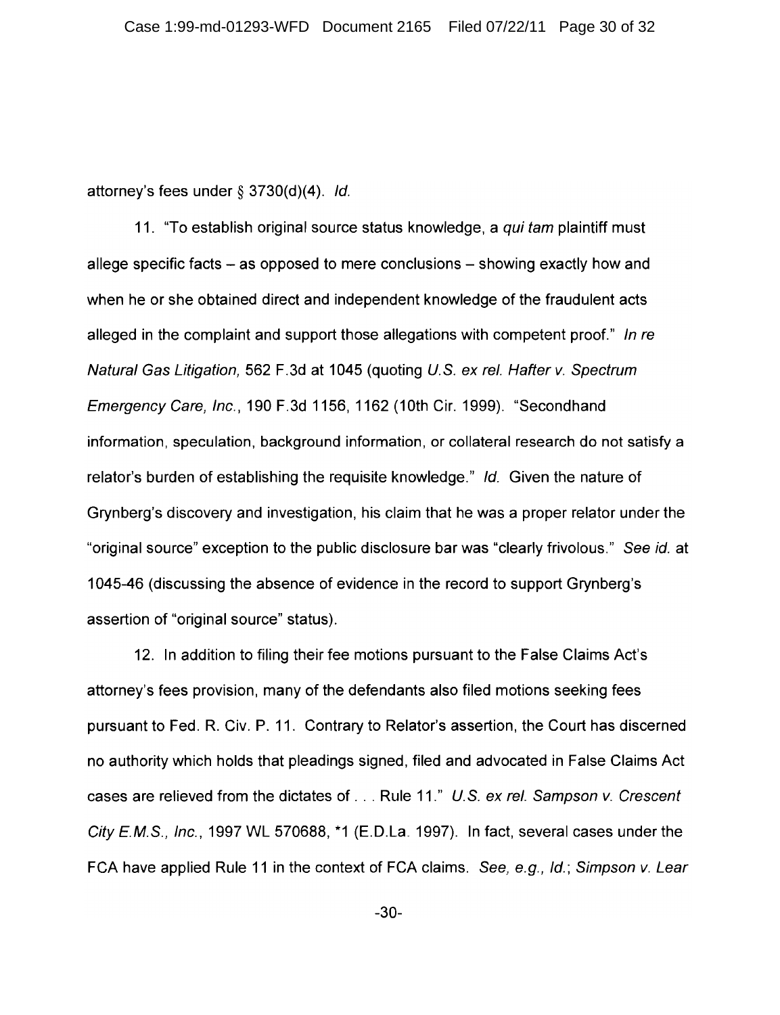attorney's fees under  $\S$  3730(d)(4). Id.

11. "To establish original source status knowledge, a *qui tam* plaintiff must allege specific facts – as opposed to mere conclusions – showing exactly how and when he or she obtained direct and independent knowledge of the fraudulent acts alleged in the complaint and support those allegations with competent proof." In re Natural Gas Litigation, 562 F.3d at 1045 (quoting U.S. ex rel. Hafter v. Spectrum Emergency Care, Inc., 190 F.3d 1156, 1162 (10th Cir. 1999). "Secondhand information, speculation, background information, or collateral research do not satisfy a relator's burden of establishing the requisite knowledge." Id. Given the nature of Grynberg's discovery and investigation, his claim that he was a proper relator under the "original source" exception to the public disclosure bar was "clearly frivolous." See id. at 1045-46 (discussing the absence of evidence in the record to support Grynberg's assertion of "original source" status).

12. In addition to filing their fee motions pursuant to the False Claims Act's attorney's fees provision, many of the defendants also filed motions seeking fees pursuant to Fed. R. Civ. P. 11. Contrary to Relator's assertion, the Court has discerned no authority which holds that pleadings signed, filed and advocated in False Claims Act cases are relieved from the dictates of . . . Rule 11." U.S. ex rel. Sampson v. Crescent City E.M.S., Inc., 1997 WL 570688,  $*1$  (E.D.La. 1997). In fact, several cases under the FCA have applied Rule 11 in the context of FCA claims. See, e.g., Id.; Simpson v. Lear

 $-30-$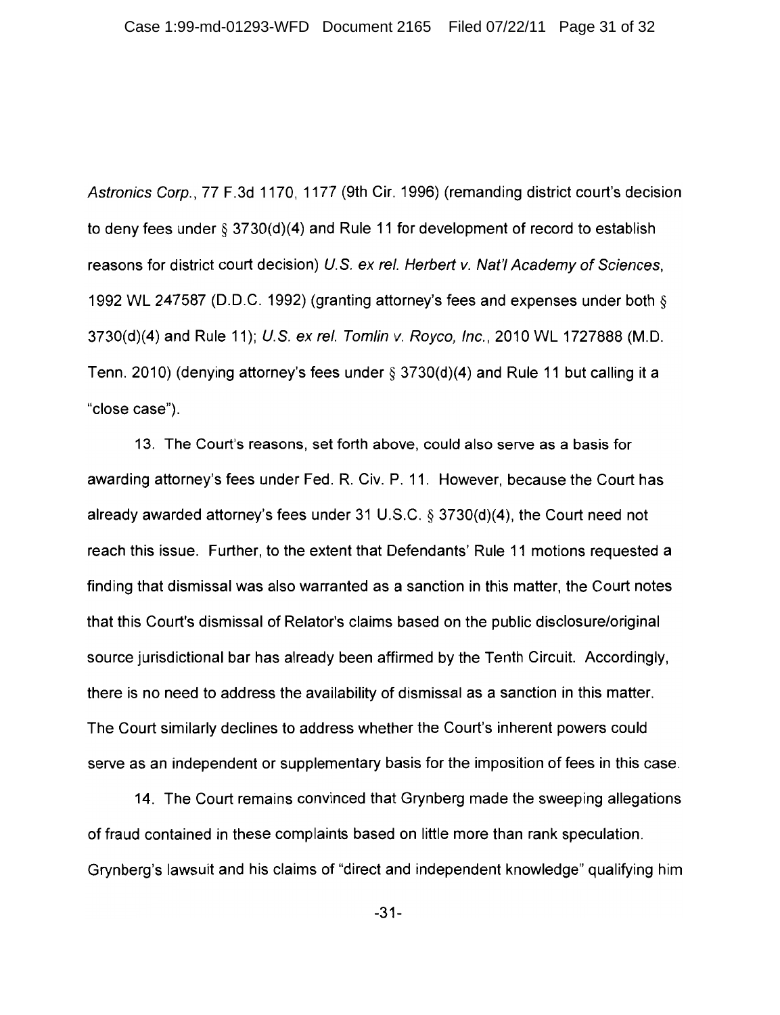Astronics Corp., 77 F.3d 1170, 1177 (9th Cir. 1996) (remanding district court's decision to deny fees under  $\S 3730(d)(4)$  and Rule 11 for development of record to establish reasons for district court decision) U.S. ex rel. Herbert v. Nat'l Academy of Sciences, 1992 WL 247587 (D.D.C. 1992) (granting attorney's fees and expenses under both § 3730(d)(4) and Rule 11); U.S. ex rel. Tomlin v. Royco, Inc., 2010 WL 1727888 (M.D. Tenn. 2010) (denying attorney's fees under  $\S$  3730(d)(4) and Rule 11 but calling it a "close case").

13. The Court's reasons, set forth above, could also serve as a basis for awarding attorney's fees under Fed. R. Civ. P. 11. However, because the Court has already awarded attorney's fees under 31 U.S.C.  $\S$  3730(d)(4), the Court need not reach this issue. Further, to the extent that Defendants' Rule 11 motions requested a finding that dismissal was also warranted as a sanction in this matter, the Court notes that this Court's dismissal of Relator's claims based on the public disclosure/original source jurisdictional bar has already been affirmed by the Tenth Circuit. Accordingly, there is no need to address the availability of dismissal as a sanction in this matter. The Court similarly declines to address whether the Court's inherent powers could serve as an independent or supplementary basis for the imposition of fees in this case.

14. The Court remains convinced that Grynberg made the sweeping allegations of fraud contained in these complaints based on little more than rank speculation. Grynberg's lawsuit and his claims of "direct and independent knowledge" qualifying him

 $-31-$